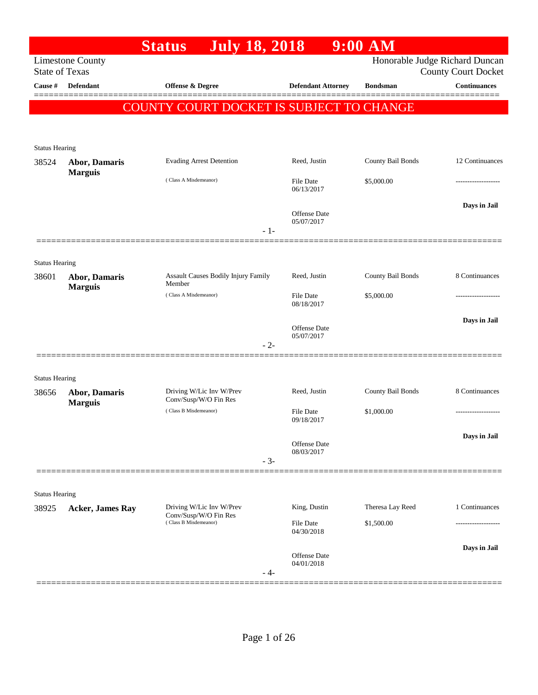|                       |                                        | <b>July 18, 2018</b><br><b>Status</b>             |                                    | $9:00$ AM         |                                                              |
|-----------------------|----------------------------------------|---------------------------------------------------|------------------------------------|-------------------|--------------------------------------------------------------|
| <b>State of Texas</b> | <b>Limestone County</b>                |                                                   |                                    |                   | Honorable Judge Richard Duncan<br><b>County Court Docket</b> |
| Cause #               | <b>Defendant</b>                       | Offense & Degree                                  | <b>Defendant Attorney</b>          | <b>Bondsman</b>   | <b>Continuances</b>                                          |
|                       |                                        | COUNTY COURT DOCKET IS SUBJECT TO CHANGE          |                                    |                   |                                                              |
|                       |                                        |                                                   |                                    |                   |                                                              |
| <b>Status Hearing</b> |                                        |                                                   |                                    |                   |                                                              |
| 38524                 | <b>Abor, Damaris</b>                   | <b>Evading Arrest Detention</b>                   | Reed, Justin                       | County Bail Bonds | 12 Continuances                                              |
|                       | <b>Marguis</b>                         | (Class A Misdemeanor)                             | <b>File Date</b><br>06/13/2017     | \$5,000.00        |                                                              |
|                       |                                        |                                                   | Offense Date<br>05/07/2017         |                   | Days in Jail                                                 |
|                       |                                        |                                                   | $-1-$                              |                   |                                                              |
| <b>Status Hearing</b> |                                        |                                                   |                                    |                   |                                                              |
| 38601                 | <b>Abor, Damaris</b><br><b>Marguis</b> | Assault Causes Bodily Injury Family<br>Member     | Reed, Justin                       | County Bail Bonds | 8 Continuances                                               |
|                       |                                        | (Class A Misdemeanor)                             | <b>File Date</b><br>08/18/2017     | \$5,000.00        |                                                              |
|                       |                                        |                                                   | Offense Date                       |                   | Days in Jail                                                 |
|                       |                                        |                                                   | 05/07/2017<br>$-2-$                |                   |                                                              |
| <b>Status Hearing</b> |                                        |                                                   |                                    |                   |                                                              |
| 38656                 | Abor, Damaris<br><b>Marguis</b>        | Driving W/Lic Inv W/Prev<br>Conv/Susp/W/O Fin Res | Reed, Justin                       | County Bail Bonds | 8 Continuances                                               |
|                       |                                        | (Class B Misdemeanor)                             | File Date<br>09/18/2017            | \$1,000.00        |                                                              |
|                       |                                        |                                                   | Offense Date                       |                   | Days in Jail                                                 |
|                       |                                        |                                                   | 08/03/2017<br>$-3-$                |                   |                                                              |
| <b>Status Hearing</b> |                                        |                                                   |                                    |                   |                                                              |
| 38925                 | <b>Acker, James Ray</b>                | Driving W/Lic Inv W/Prev<br>Conv/Susp/W/O Fin Res | King, Dustin                       | Theresa Lay Reed  | 1 Continuances                                               |
|                       |                                        | (Class B Misdemeanor)                             | <b>File Date</b><br>04/30/2018     | \$1,500.00        | ------------------                                           |
|                       |                                        |                                                   | Offense Date<br>04/01/2018<br>- 4- |                   | Days in Jail                                                 |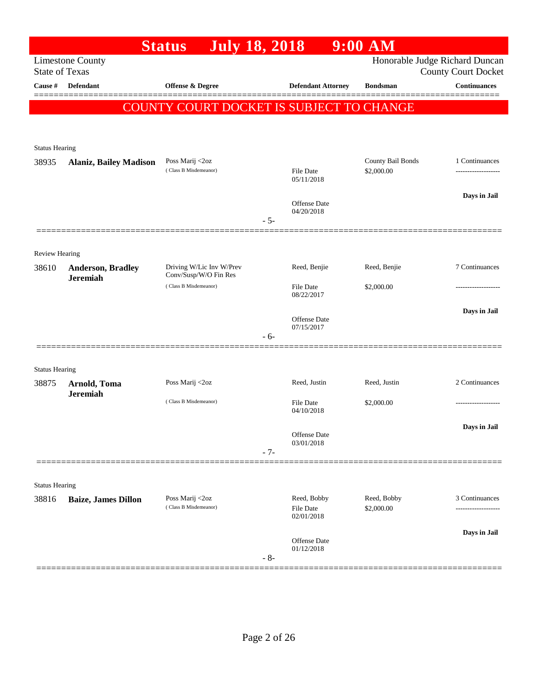|                       |                               | <b>July 18, 2018</b><br><b>Status</b>             |       |                                | $9:00$ AM         |                                                   |
|-----------------------|-------------------------------|---------------------------------------------------|-------|--------------------------------|-------------------|---------------------------------------------------|
| <b>State of Texas</b> | <b>Limestone County</b>       |                                                   |       |                                |                   | Honorable Judge Richard Duncan                    |
| <b>Cause</b> #        | Defendant                     | Offense & Degree                                  |       | <b>Defendant Attorney</b>      | <b>Bondsman</b>   | <b>County Court Docket</b><br><b>Continuances</b> |
|                       |                               |                                                   |       |                                |                   |                                                   |
|                       |                               | <b>COUNTY COURT DOCKET IS SUBJECT TO CHANGE</b>   |       |                                |                   |                                                   |
|                       |                               |                                                   |       |                                |                   |                                                   |
| <b>Status Hearing</b> |                               |                                                   |       |                                |                   |                                                   |
| 38935                 | <b>Alaniz, Bailey Madison</b> | Poss Marij <2oz                                   |       |                                | County Bail Bonds | 1 Continuances                                    |
|                       |                               | (Class B Misdemeanor)                             |       | File Date<br>05/11/2018        | \$2,000.00        |                                                   |
|                       |                               |                                                   |       |                                |                   | Days in Jail                                      |
|                       |                               |                                                   |       | Offense Date<br>04/20/2018     |                   |                                                   |
|                       |                               |                                                   | $-5-$ |                                |                   |                                                   |
|                       |                               |                                                   |       |                                |                   |                                                   |
| <b>Review Hearing</b> |                               |                                                   |       |                                |                   |                                                   |
| 38610                 | Anderson, Bradley             | Driving W/Lic Inv W/Prev<br>Conv/Susp/W/O Fin Res |       | Reed, Benjie                   | Reed, Benjie      | 7 Continuances                                    |
|                       | <b>Jeremiah</b>               | (Class B Misdemeanor)                             |       | File Date                      | \$2,000.00        |                                                   |
|                       |                               |                                                   |       | 08/22/2017                     |                   |                                                   |
|                       |                               |                                                   |       | <b>Offense Date</b>            |                   | Days in Jail                                      |
|                       |                               |                                                   | - 6-  | 07/15/2017                     |                   |                                                   |
|                       |                               |                                                   |       |                                |                   |                                                   |
| <b>Status Hearing</b> |                               |                                                   |       |                                |                   |                                                   |
| 38875                 | Arnold, Toma                  | Poss Marij <2oz                                   |       | Reed, Justin                   | Reed, Justin      | 2 Continuances                                    |
|                       | <b>Jeremiah</b>               | (Class B Misdemeanor)                             |       | File Date                      | \$2,000.00        |                                                   |
|                       |                               |                                                   |       | 04/10/2018                     |                   |                                                   |
|                       |                               |                                                   |       | Offense Date                   |                   | Days in Jail                                      |
|                       |                               |                                                   |       | 03/01/2018                     |                   |                                                   |
|                       |                               |                                                   | $-7-$ |                                |                   |                                                   |
| <b>Status Hearing</b> |                               |                                                   |       |                                |                   |                                                   |
| 38816                 | <b>Baize, James Dillon</b>    | Poss Marij <2oz                                   |       | Reed, Bobby                    | Reed, Bobby       | 3 Continuances                                    |
|                       |                               | (Class B Misdemeanor)                             |       | <b>File Date</b><br>02/01/2018 | \$2,000.00        | -----------------                                 |
|                       |                               |                                                   |       |                                |                   |                                                   |
|                       |                               |                                                   |       | <b>Offense Date</b>            |                   | Days in Jail                                      |
|                       |                               |                                                   | $-8-$ | 01/12/2018                     |                   |                                                   |
|                       |                               |                                                   |       |                                |                   |                                                   |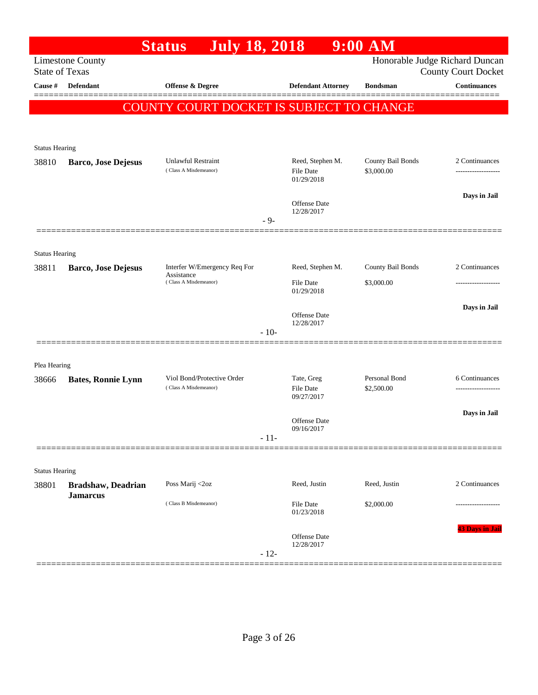|                                |                            | <b>July 18, 2018</b><br><b>Status</b>               |        |                                              | $9:00$ AM                       |                                                              |
|--------------------------------|----------------------------|-----------------------------------------------------|--------|----------------------------------------------|---------------------------------|--------------------------------------------------------------|
| <b>State of Texas</b>          | <b>Limestone County</b>    |                                                     |        |                                              |                                 | Honorable Judge Richard Duncan<br><b>County Court Docket</b> |
| Cause $\#$                     | Defendant                  | Offense & Degree                                    |        | <b>Defendant Attorney</b>                    | <b>Bondsman</b>                 | <b>Continuances</b>                                          |
|                                |                            | COUNTY COURT DOCKET IS SUBJECT TO CHANGE            |        |                                              |                                 |                                                              |
|                                |                            |                                                     |        |                                              |                                 |                                                              |
| <b>Status Hearing</b>          |                            |                                                     |        |                                              |                                 |                                                              |
| 38810                          | <b>Barco, Jose Dejesus</b> | Unlawful Restraint<br>(Class A Misdemeanor)         |        | Reed, Stephen M.<br>File Date<br>01/29/2018  | County Bail Bonds<br>\$3,000.00 | 2 Continuances                                               |
|                                |                            |                                                     | $-9-$  | Offense Date<br>12/28/2017                   |                                 | Days in Jail                                                 |
|                                | =============              |                                                     |        |                                              |                                 |                                                              |
| <b>Status Hearing</b><br>38811 | Barco, Jose Dejesus        | Interfer W/Emergency Req For                        |        | Reed, Stephen M.                             | County Bail Bonds               | 2 Continuances                                               |
|                                |                            | Assistance<br>(Class A Misdemeanor)                 |        | <b>File Date</b><br>01/29/2018               | \$3,000.00                      |                                                              |
|                                |                            |                                                     |        | Offense Date<br>12/28/2017                   |                                 | Days in Jail                                                 |
|                                |                            |                                                     | $-10-$ |                                              |                                 |                                                              |
| Plea Hearing                   |                            |                                                     |        |                                              |                                 |                                                              |
| 38666                          | <b>Bates, Ronnie Lynn</b>  | Viol Bond/Protective Order<br>(Class A Misdemeanor) |        | Tate, Greg<br><b>File Date</b><br>09/27/2017 | Personal Bond<br>\$2,500.00     | 6 Continuances<br>------------------                         |
|                                |                            |                                                     |        | Offense Date                                 |                                 | Days in Jail                                                 |
|                                |                            |                                                     | $-11-$ | 09/16/2017                                   |                                 |                                                              |
| <b>Status Hearing</b>          |                            |                                                     |        |                                              |                                 |                                                              |
| 38801                          | Bradshaw, Deadrian         | Poss Marij <2oz                                     |        | Reed, Justin                                 | Reed, Justin                    | 2 Continuances                                               |
|                                | <b>Jamarcus</b>            | (Class B Misdemeanor)                               |        | File Date<br>01/23/2018                      | \$2,000.00                      |                                                              |
|                                |                            |                                                     | $-12-$ | Offense Date<br>12/28/2017                   |                                 | <b>43 Days in Jail</b>                                       |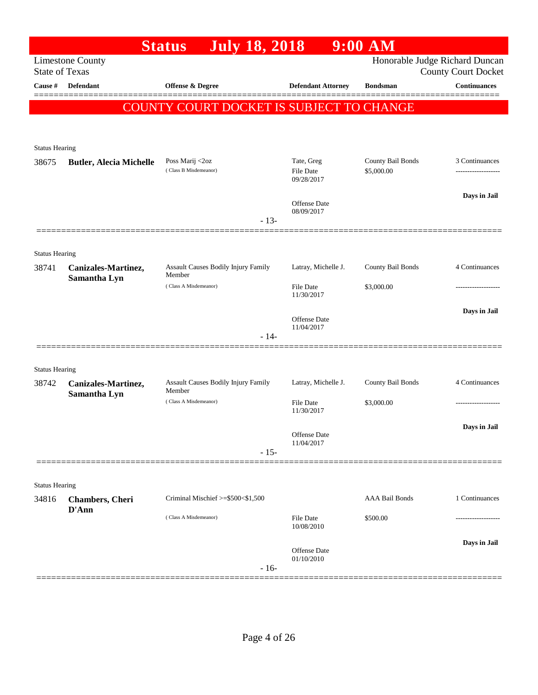|                                |                                | <b>July 18, 2018</b><br><b>Status</b>         |                                   | $9:00$ AM             |                                |
|--------------------------------|--------------------------------|-----------------------------------------------|-----------------------------------|-----------------------|--------------------------------|
|                                | <b>Limestone County</b>        |                                               |                                   |                       | Honorable Judge Richard Duncan |
| <b>State of Texas</b>          |                                |                                               |                                   |                       | <b>County Court Docket</b>     |
| Cause #                        | Defendant                      | Offense & Degree                              | <b>Defendant Attorney</b>         | <b>Bondsman</b>       | <b>Continuances</b>            |
|                                |                                | COUNTY COURT DOCKET IS SUBJECT TO CHANGE      |                                   |                       |                                |
|                                |                                |                                               |                                   |                       |                                |
| <b>Status Hearing</b>          |                                |                                               |                                   |                       |                                |
| 38675                          | <b>Butler, Alecia Michelle</b> | Poss Marij <2oz                               | Tate, Greg                        | County Bail Bonds     | 3 Continuances                 |
|                                |                                | (Class B Misdemeanor)                         | File Date<br>09/28/2017           | \$5,000.00            |                                |
|                                |                                |                                               |                                   |                       |                                |
|                                |                                |                                               | <b>Offense Date</b>               |                       | Days in Jail                   |
|                                |                                | $-13-$                                        | 08/09/2017                        |                       |                                |
|                                |                                |                                               |                                   |                       |                                |
| <b>Status Hearing</b>          |                                |                                               |                                   |                       |                                |
| 38741                          | Canizales-Martinez,            | Assault Causes Bodily Injury Family<br>Member | Latray, Michelle J.               | County Bail Bonds     | 4 Continuances                 |
|                                | Samantha Lyn                   | (Class A Misdemeanor)                         | <b>File Date</b>                  | \$3,000.00            |                                |
|                                |                                |                                               | 11/30/2017                        |                       |                                |
|                                |                                |                                               | <b>Offense Date</b>               |                       | Days in Jail                   |
|                                |                                | $-14-$                                        | 11/04/2017                        |                       |                                |
|                                |                                |                                               |                                   |                       |                                |
| <b>Status Hearing</b>          |                                |                                               |                                   |                       |                                |
| 38742                          | Canizales-Martinez,            | Assault Causes Bodily Injury Family           | Latray, Michelle J.               | County Bail Bonds     | 4 Continuances                 |
|                                | Samantha Lyn                   | Member<br>(Class A Misdemeanor)               | <b>File Date</b>                  | \$3,000.00            |                                |
|                                |                                |                                               | 11/30/2017                        |                       |                                |
|                                |                                |                                               |                                   |                       | Days in Jail                   |
|                                |                                |                                               | Offense Date<br>11/04/2017        |                       |                                |
|                                |                                | $-15-$                                        |                                   |                       |                                |
|                                |                                |                                               |                                   |                       |                                |
| <b>Status Hearing</b><br>34816 | <b>Chambers</b> , Cheri        | Criminal Mischief $\ge$ \$500 < \$1,500       |                                   | <b>AAA Bail Bonds</b> | 1 Continuances                 |
|                                | D'Ann                          |                                               |                                   |                       |                                |
|                                |                                | (Class A Misdemeanor)                         | <b>File Date</b><br>10/08/2010    | \$500.00              |                                |
|                                |                                |                                               |                                   |                       | Days in Jail                   |
|                                |                                |                                               | <b>Offense Date</b><br>01/10/2010 |                       |                                |
|                                |                                | $-16-$                                        |                                   |                       |                                |
|                                |                                |                                               |                                   |                       |                                |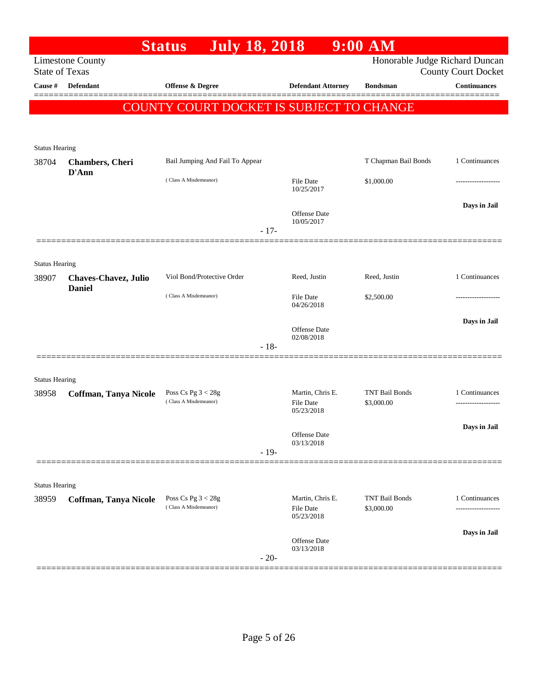|                                |                                               | July 18, 2018<br><b>Status</b>                |                                      | $9:00$ AM                           |                            |
|--------------------------------|-----------------------------------------------|-----------------------------------------------|--------------------------------------|-------------------------------------|----------------------------|
| <b>State of Texas</b>          | <b>Limestone County</b>                       |                                               |                                      | Honorable Judge Richard Duncan      | <b>County Court Docket</b> |
| Cause #                        | <b>Defendant</b>                              | Offense & Degree                              | <b>Defendant Attorney</b>            | <b>Bondsman</b>                     | <b>Continuances</b>        |
|                                |                                               | COUNTY COURT DOCKET IS SUBJECT TO CHANGE      |                                      |                                     |                            |
|                                |                                               |                                               |                                      |                                     |                            |
|                                |                                               |                                               |                                      |                                     |                            |
| <b>Status Hearing</b><br>38704 |                                               | Bail Jumping And Fail To Appear               |                                      | T Chapman Bail Bonds                | 1 Continuances             |
|                                | <b>Chambers</b> , Cheri<br>D'Ann              |                                               |                                      |                                     |                            |
|                                |                                               | (Class A Misdemeanor)                         | <b>File Date</b><br>10/25/2017       | \$1,000.00                          |                            |
|                                |                                               |                                               |                                      |                                     | Days in Jail               |
|                                |                                               |                                               | <b>Offense Date</b><br>10/05/2017    |                                     |                            |
|                                |                                               | $-17-$                                        |                                      |                                     |                            |
|                                |                                               |                                               |                                      |                                     |                            |
| <b>Status Hearing</b>          |                                               |                                               |                                      |                                     |                            |
| 38907                          | <b>Chaves-Chavez</b> , Julio<br><b>Daniel</b> | Viol Bond/Protective Order                    | Reed, Justin                         | Reed, Justin                        | 1 Continuances             |
|                                |                                               | (Class A Misdemeanor)                         | File Date<br>04/26/2018              | \$2,500.00                          |                            |
|                                |                                               |                                               |                                      |                                     | Days in Jail               |
|                                |                                               |                                               | <b>Offense Date</b><br>02/08/2018    |                                     |                            |
|                                |                                               | $-18-$                                        |                                      |                                     |                            |
|                                |                                               |                                               |                                      |                                     |                            |
| <b>Status Hearing</b>          |                                               |                                               |                                      |                                     |                            |
| 38958                          | Coffman, Tanya Nicole                         | Poss Cs Pg $3 < 28g$<br>(Class A Misdemeanor) | Martin, Chris E.<br><b>File Date</b> | <b>TNT Bail Bonds</b><br>\$3,000.00 | 1 Continuances<br>         |
|                                |                                               |                                               | 05/23/2018                           |                                     |                            |
|                                |                                               |                                               | Offense Date                         |                                     | Days in Jail               |
|                                |                                               | $-19-$                                        | 03/13/2018                           |                                     |                            |
|                                |                                               |                                               |                                      |                                     |                            |
|                                |                                               |                                               |                                      |                                     |                            |
| <b>Status Hearing</b><br>38959 | <b>Coffman, Tanya Nicole</b>                  | Poss Cs Pg $3 < 28g$                          | Martin, Chris E.                     | <b>TNT Bail Bonds</b>               | 1 Continuances             |
|                                |                                               | (Class A Misdemeanor)                         | <b>File Date</b><br>05/23/2018       | \$3,000.00                          |                            |
|                                |                                               |                                               |                                      |                                     | Days in Jail               |
|                                |                                               |                                               | Offense Date<br>03/13/2018           |                                     |                            |
|                                |                                               | $-20-$                                        |                                      |                                     |                            |
|                                |                                               |                                               |                                      |                                     |                            |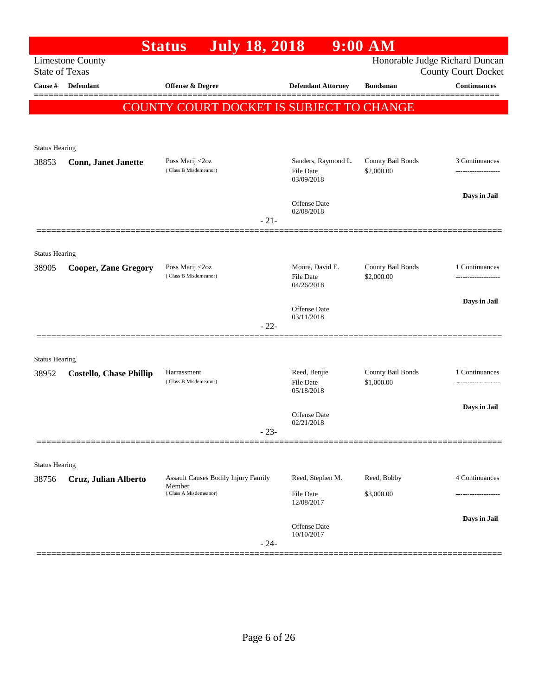|                                  |                                | <b>July 18, 2018</b><br><b>Status</b>                |        |                              | 9:00 AM                         |                                                   |
|----------------------------------|--------------------------------|------------------------------------------------------|--------|------------------------------|---------------------------------|---------------------------------------------------|
|                                  | <b>Limestone County</b>        |                                                      |        |                              |                                 | Honorable Judge Richard Duncan                    |
| <b>State of Texas</b><br>Cause # | <b>Defendant</b>               | <b>Offense &amp; Degree</b>                          |        | <b>Defendant Attorney</b>    | <b>Bondsman</b>                 | <b>County Court Docket</b><br><b>Continuances</b> |
|                                  |                                |                                                      |        |                              |                                 |                                                   |
|                                  |                                | COUNTY COURT DOCKET IS SUBJECT TO CHANGE             |        |                              |                                 |                                                   |
|                                  |                                |                                                      |        |                              |                                 |                                                   |
| <b>Status Hearing</b>            |                                |                                                      |        |                              |                                 |                                                   |
| 38853                            | <b>Conn, Janet Janette</b>     | Poss Marij <2oz                                      |        | Sanders, Raymond L.          | County Bail Bonds               | 3 Continuances                                    |
|                                  |                                | (Class B Misdemeanor)                                |        | File Date<br>03/09/2018      | \$2,000.00                      |                                                   |
|                                  |                                |                                                      |        |                              |                                 | Days in Jail                                      |
|                                  |                                |                                                      |        | Offense Date<br>02/08/2018   |                                 |                                                   |
|                                  |                                |                                                      | $-21-$ |                              |                                 |                                                   |
|                                  |                                |                                                      |        |                              |                                 |                                                   |
| <b>Status Hearing</b>            |                                |                                                      |        |                              |                                 |                                                   |
| 38905                            | <b>Cooper, Zane Gregory</b>    | Poss Marij <2oz<br>(Class B Misdemeanor)             |        | Moore, David E.<br>File Date | County Bail Bonds<br>\$2,000.00 | 1 Continuances                                    |
|                                  |                                |                                                      |        | 04/26/2018                   |                                 |                                                   |
|                                  |                                |                                                      |        | Offense Date                 |                                 | Days in Jail                                      |
|                                  |                                |                                                      | $-22-$ | 03/11/2018                   |                                 |                                                   |
|                                  |                                |                                                      |        |                              |                                 |                                                   |
|                                  |                                |                                                      |        |                              |                                 |                                                   |
| <b>Status Hearing</b><br>38952   | <b>Costello, Chase Phillip</b> | Harrassment                                          |        | Reed, Benjie                 | County Bail Bonds               | 1 Continuances                                    |
|                                  |                                | (Class B Misdemeanor)                                |        | File Date<br>05/18/2018      | \$1,000.00                      |                                                   |
|                                  |                                |                                                      |        |                              |                                 | Days in Jail                                      |
|                                  |                                |                                                      |        | Offense Date<br>02/21/2018   |                                 |                                                   |
|                                  |                                |                                                      | $23 -$ |                              |                                 |                                                   |
|                                  |                                |                                                      |        |                              |                                 |                                                   |
| <b>Status Hearing</b>            |                                |                                                      |        |                              |                                 |                                                   |
| 38756                            | Cruz, Julian Alberto           | <b>Assault Causes Bodily Injury Family</b><br>Member |        | Reed, Stephen M.             | Reed, Bobby                     | 4 Continuances                                    |
|                                  |                                | (Class A Misdemeanor)                                |        | File Date<br>12/08/2017      | \$3,000.00                      |                                                   |
|                                  |                                |                                                      |        |                              |                                 | Days in Jail                                      |
|                                  |                                |                                                      |        | Offense Date<br>10/10/2017   |                                 |                                                   |
|                                  |                                |                                                      | $-24-$ |                              |                                 |                                                   |
|                                  |                                |                                                      |        |                              |                                 |                                                   |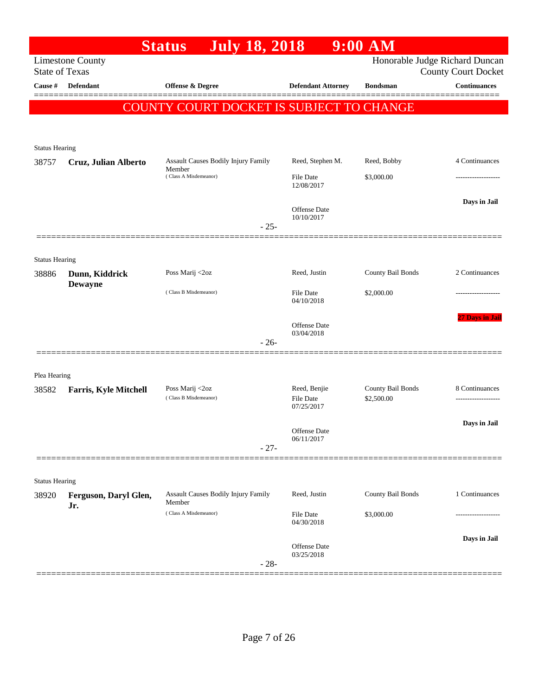|                                  |                              | <b>July 18, 2018</b><br><b>Status</b>         |                           | 9:00 AM           |                                                   |
|----------------------------------|------------------------------|-----------------------------------------------|---------------------------|-------------------|---------------------------------------------------|
|                                  | <b>Limestone County</b>      |                                               |                           |                   | Honorable Judge Richard Duncan                    |
| <b>State of Texas</b><br>Cause # | Defendant                    | <b>Offense &amp; Degree</b>                   | <b>Defendant Attorney</b> | <b>Bondsman</b>   | <b>County Court Docket</b><br><b>Continuances</b> |
|                                  |                              |                                               |                           |                   |                                                   |
|                                  |                              | COUNTY COURT DOCKET IS SUBJECT TO CHANGE      |                           |                   |                                                   |
|                                  |                              |                                               |                           |                   |                                                   |
|                                  |                              |                                               |                           |                   |                                                   |
| <b>Status Hearing</b>            |                              |                                               |                           |                   |                                                   |
| 38757                            | Cruz, Julian Alberto         | Assault Causes Bodily Injury Family<br>Member | Reed, Stephen M.          | Reed, Bobby       | 4 Continuances                                    |
|                                  |                              | (Class A Misdemeanor)                         | File Date<br>12/08/2017   | \$3,000.00        |                                                   |
|                                  |                              |                                               |                           |                   | Days in Jail                                      |
|                                  |                              |                                               | Offense Date              |                   |                                                   |
|                                  |                              | $-25-$                                        | 10/10/2017                |                   |                                                   |
|                                  |                              |                                               |                           |                   |                                                   |
|                                  |                              |                                               |                           |                   |                                                   |
| <b>Status Hearing</b><br>38886   | Dunn, Kiddrick               | Poss Marij <2oz                               | Reed, Justin              | County Bail Bonds | 2 Continuances                                    |
|                                  | <b>Dewayne</b>               |                                               |                           |                   |                                                   |
|                                  |                              | (Class B Misdemeanor)                         | File Date<br>04/10/2018   | \$2,000.00        |                                                   |
|                                  |                              |                                               |                           |                   |                                                   |
|                                  |                              |                                               | Offense Date              |                   | 27 Days in Jail                                   |
|                                  |                              | $-26-$                                        | 03/04/2018                |                   |                                                   |
|                                  |                              |                                               |                           |                   |                                                   |
|                                  |                              |                                               |                           |                   |                                                   |
| Plea Hearing<br>38582            |                              | Poss Marij <2oz                               | Reed, Benjie              | County Bail Bonds | 8 Continuances                                    |
|                                  | <b>Farris, Kyle Mitchell</b> | (Class B Misdemeanor)                         | <b>File Date</b>          | \$2,500.00        |                                                   |
|                                  |                              |                                               | 07/25/2017                |                   |                                                   |
|                                  |                              |                                               | Offense Date              |                   | Days in Jail                                      |
|                                  |                              |                                               | 06/11/2017                |                   |                                                   |
|                                  |                              | $-27-$                                        |                           |                   |                                                   |
|                                  |                              |                                               |                           |                   |                                                   |
| <b>Status Hearing</b>            |                              |                                               |                           |                   |                                                   |
| 38920                            | Ferguson, Daryl Glen,        | Assault Causes Bodily Injury Family<br>Member | Reed, Justin              | County Bail Bonds | 1 Continuances                                    |
|                                  | Jr.                          | (Class A Misdemeanor)                         | File Date                 | \$3,000.00        |                                                   |
|                                  |                              |                                               | 04/30/2018                |                   |                                                   |
|                                  |                              |                                               | Offense Date              |                   | Days in Jail                                      |
|                                  |                              |                                               | 03/25/2018                |                   |                                                   |
|                                  |                              | $-28-$                                        |                           |                   |                                                   |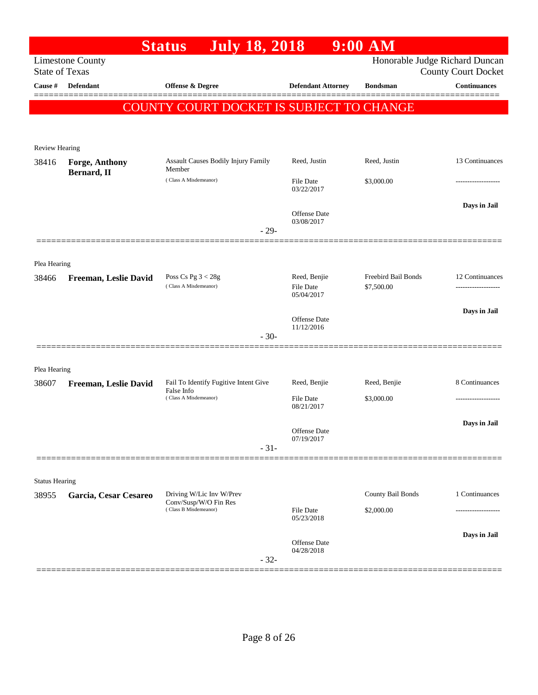|                       |                         | <b>July 18, 2018</b><br><b>Status</b>                                      |                                   | 9:00 AM                           |                                                              |
|-----------------------|-------------------------|----------------------------------------------------------------------------|-----------------------------------|-----------------------------------|--------------------------------------------------------------|
| <b>State of Texas</b> | <b>Limestone County</b> |                                                                            |                                   |                                   | Honorable Judge Richard Duncan<br><b>County Court Docket</b> |
| Cause #               | <b>Defendant</b>        | <b>Offense &amp; Degree</b>                                                | <b>Defendant Attorney</b>         | <b>Bondsman</b>                   | <b>Continuances</b>                                          |
|                       |                         | COUNTY COURT DOCKET IS SUBJECT TO CHANGE                                   |                                   |                                   |                                                              |
|                       |                         |                                                                            |                                   |                                   |                                                              |
| <b>Review Hearing</b> |                         |                                                                            |                                   |                                   |                                                              |
| 38416                 | <b>Forge, Anthony</b>   | Assault Causes Bodily Injury Family<br>Member                              | Reed, Justin                      | Reed, Justin                      | 13 Continuances                                              |
|                       | Bernard, II             | (Class A Misdemeanor)                                                      | File Date<br>03/22/2017           | \$3,000.00                        | .                                                            |
|                       |                         |                                                                            | <b>Offense Date</b><br>03/08/2017 |                                   | Days in Jail                                                 |
|                       |                         | $-29-$                                                                     |                                   |                                   |                                                              |
|                       |                         |                                                                            |                                   |                                   |                                                              |
| Plea Hearing<br>38466 | Freeman, Leslie David   | Poss Cs Pg $3 < 28g$<br>(Class A Misdemeanor)                              | Reed, Benjie<br><b>File Date</b>  | Freebird Bail Bonds<br>\$7,500.00 | 12 Continuances                                              |
|                       |                         |                                                                            | 05/04/2017<br><b>Offense Date</b> |                                   | Days in Jail                                                 |
|                       |                         | $-30-$                                                                     | 11/12/2016                        |                                   |                                                              |
|                       |                         |                                                                            |                                   |                                   |                                                              |
| Plea Hearing          |                         |                                                                            |                                   |                                   |                                                              |
| 38607                 | Freeman, Leslie David   | Fail To Identify Fugitive Intent Give                                      | Reed, Benjie                      | Reed, Benjie                      | 8 Continuances                                               |
|                       |                         | False Info<br>(Class A Misdemeanor)                                        | <b>File Date</b><br>08/21/2017    | \$3,000.00                        |                                                              |
|                       |                         |                                                                            | Offense Date<br>07/19/2017        |                                   | Days in Jail                                                 |
|                       |                         | $-31-$                                                                     |                                   |                                   |                                                              |
|                       |                         |                                                                            |                                   |                                   |                                                              |
| <b>Status Hearing</b> |                         |                                                                            |                                   |                                   |                                                              |
| 38955                 | Garcia, Cesar Cesareo   | Driving W/Lic Inv W/Prev<br>Conv/Susp/W/O Fin Res<br>(Class B Misdemeanor) | File Date                         | County Bail Bonds<br>\$2,000.00   | 1 Continuances<br>.                                          |
|                       |                         |                                                                            | 05/23/2018                        |                                   |                                                              |
|                       |                         |                                                                            | Offense Date<br>04/28/2018        |                                   | Days in Jail                                                 |
|                       |                         | $-32-$                                                                     |                                   |                                   | ==================                                           |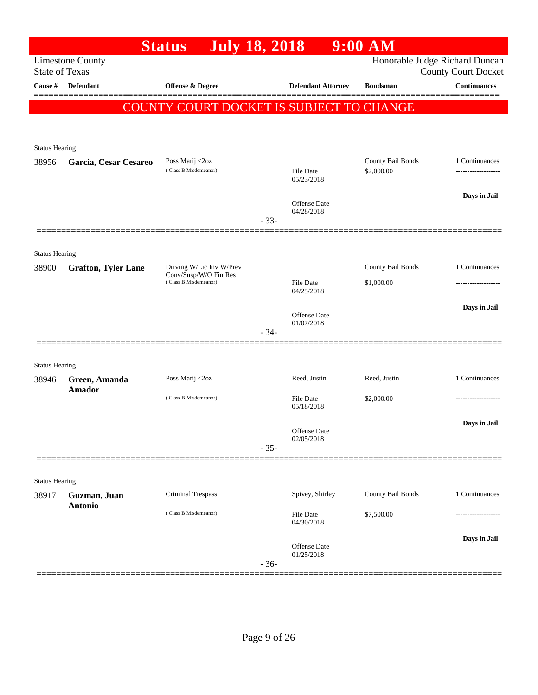|                       |                                                     | <b>July 18, 2018</b><br><b>Status</b>             |        |                                | $9:00$ AM                       |                                |
|-----------------------|-----------------------------------------------------|---------------------------------------------------|--------|--------------------------------|---------------------------------|--------------------------------|
|                       | <b>Limestone County</b>                             |                                                   |        |                                |                                 | Honorable Judge Richard Duncan |
| <b>State of Texas</b> |                                                     |                                                   |        |                                |                                 | <b>County Court Docket</b>     |
| Cause #               | Defendant                                           | Offense & Degree                                  |        | <b>Defendant Attorney</b>      | <b>Bondsman</b>                 | <b>Continuances</b>            |
|                       |                                                     | COUNTY COURT DOCKET IS SUBJECT TO CHANGE          |        |                                |                                 |                                |
|                       |                                                     |                                                   |        |                                |                                 |                                |
|                       |                                                     |                                                   |        |                                |                                 |                                |
| <b>Status Hearing</b> |                                                     |                                                   |        |                                |                                 |                                |
| 38956                 | Garcia, Cesar Cesareo                               | Poss Marij <2oz<br>(Class B Misdemeanor)          |        | File Date                      | County Bail Bonds<br>\$2,000.00 | 1 Continuances                 |
|                       |                                                     |                                                   |        | 05/23/2018                     |                                 |                                |
|                       |                                                     |                                                   |        | <b>Offense Date</b>            |                                 | Days in Jail                   |
|                       |                                                     |                                                   |        | 04/28/2018                     |                                 |                                |
|                       |                                                     |                                                   | $-33-$ |                                |                                 |                                |
|                       |                                                     |                                                   |        |                                |                                 |                                |
| <b>Status Hearing</b> |                                                     |                                                   |        |                                |                                 |                                |
| 38900                 | <b>Grafton, Tyler Lane</b><br>(Class B Misdemeanor) | Driving W/Lic Inv W/Prev<br>Conv/Susp/W/O Fin Res |        |                                | County Bail Bonds               | 1 Continuances                 |
|                       |                                                     |                                                   |        | <b>File Date</b><br>04/25/2018 | \$1,000.00                      |                                |
|                       |                                                     |                                                   |        |                                |                                 | Days in Jail                   |
|                       |                                                     |                                                   |        | Offense Date<br>01/07/2018     |                                 |                                |
|                       |                                                     |                                                   | $-34-$ |                                |                                 |                                |
|                       |                                                     |                                                   |        |                                |                                 |                                |
| <b>Status Hearing</b> |                                                     |                                                   |        |                                |                                 |                                |
| 38946                 | Green, Amanda                                       | Poss Marij <2oz                                   |        | Reed, Justin                   | Reed, Justin                    | 1 Continuances                 |
|                       | <b>Amador</b>                                       | (Class B Misdemeanor)                             |        | <b>File Date</b>               | \$2,000.00                      |                                |
|                       |                                                     |                                                   |        | 05/18/2018                     |                                 |                                |
|                       |                                                     |                                                   |        |                                |                                 | Days in Jail                   |
|                       |                                                     |                                                   |        | Offense Date<br>02/05/2018     |                                 |                                |
|                       |                                                     |                                                   | $-35-$ |                                |                                 |                                |
|                       |                                                     |                                                   |        |                                |                                 |                                |
| <b>Status Hearing</b> |                                                     |                                                   |        |                                |                                 |                                |
| 38917                 | Guzman, Juan                                        | Criminal Trespass                                 |        | Spivey, Shirley                | County Bail Bonds               | 1 Continuances                 |
|                       | Antonio                                             | (Class B Misdemeanor)                             |        | File Date                      | \$7,500.00                      |                                |
|                       |                                                     |                                                   |        | 04/30/2018                     |                                 |                                |
|                       |                                                     |                                                   |        | Offense Date                   |                                 | Days in Jail                   |
|                       |                                                     |                                                   | $-36-$ | 01/25/2018                     |                                 |                                |
|                       |                                                     |                                                   |        |                                |                                 |                                |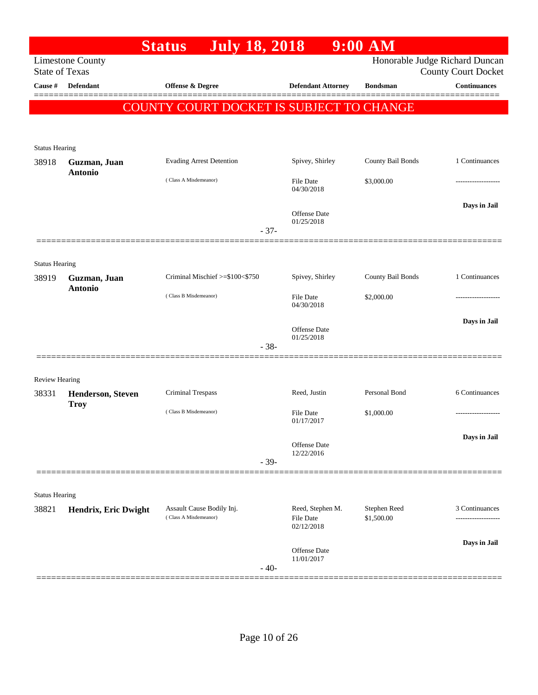|                                |                          | <b>July 18, 2018</b><br><b>Status</b>    |        |                                | $9:00$ AM         |                                                              |
|--------------------------------|--------------------------|------------------------------------------|--------|--------------------------------|-------------------|--------------------------------------------------------------|
| <b>State of Texas</b>          | <b>Limestone County</b>  |                                          |        |                                |                   | Honorable Judge Richard Duncan<br><b>County Court Docket</b> |
| Cause #                        | <b>Defendant</b>         | Offense & Degree                         |        | <b>Defendant Attorney</b>      | <b>Bondsman</b>   | <b>Continuances</b>                                          |
|                                |                          | COUNTY COURT DOCKET IS SUBJECT TO CHANGE |        |                                |                   |                                                              |
|                                |                          |                                          |        |                                |                   |                                                              |
|                                |                          |                                          |        |                                |                   |                                                              |
| <b>Status Hearing</b><br>38918 | Guzman, Juan             | <b>Evading Arrest Detention</b>          |        | Spivey, Shirley                | County Bail Bonds | 1 Continuances                                               |
|                                | <b>Antonio</b>           |                                          |        |                                |                   |                                                              |
|                                |                          | (Class A Misdemeanor)                    |        | <b>File Date</b><br>04/30/2018 | \$3,000.00        | .                                                            |
|                                |                          |                                          |        |                                |                   | Days in Jail                                                 |
|                                |                          |                                          |        | Offense Date<br>01/25/2018     |                   |                                                              |
|                                |                          |                                          | $-37-$ |                                |                   |                                                              |
|                                |                          |                                          |        |                                |                   |                                                              |
| <b>Status Hearing</b><br>38919 | Guzman, Juan             | Criminal Mischief >=\$100<\$750          |        | Spivey, Shirley                | County Bail Bonds | 1 Continuances                                               |
|                                | <b>Antonio</b>           | (Class B Misdemeanor)                    |        |                                |                   |                                                              |
|                                |                          |                                          |        | <b>File Date</b><br>04/30/2018 | \$2,000.00        |                                                              |
|                                |                          |                                          |        | Offense Date                   |                   | Days in Jail                                                 |
|                                |                          |                                          | $-38-$ | 01/25/2018                     |                   |                                                              |
|                                |                          |                                          |        |                                |                   |                                                              |
| Review Hearing                 |                          |                                          |        |                                |                   |                                                              |
| 38331                          | <b>Henderson, Steven</b> | Criminal Trespass                        |        | Reed, Justin                   | Personal Bond     | 6 Continuances                                               |
|                                | <b>Troy</b>              | (Class B Misdemeanor)                    |        | <b>File Date</b>               | \$1,000.00        |                                                              |
|                                |                          |                                          |        | 01/17/2017                     |                   |                                                              |
|                                |                          |                                          |        | Offense Date                   |                   | Days in Jail                                                 |
|                                |                          |                                          | $-39-$ | 12/22/2016                     |                   |                                                              |
|                                |                          |                                          |        |                                |                   |                                                              |
| <b>Status Hearing</b>          |                          |                                          |        |                                |                   |                                                              |
| 38821                          | Hendrix, Eric Dwight     | Assault Cause Bodily Inj.                |        | Reed, Stephen M.               | Stephen Reed      | 3 Continuances                                               |
|                                |                          | (Class A Misdemeanor)                    |        | <b>File Date</b><br>02/12/2018 | \$1,500.00        |                                                              |
|                                |                          |                                          |        |                                |                   | Days in Jail                                                 |
|                                |                          |                                          |        | Offense Date<br>11/01/2017     |                   |                                                              |
|                                |                          |                                          | $-40-$ |                                |                   |                                                              |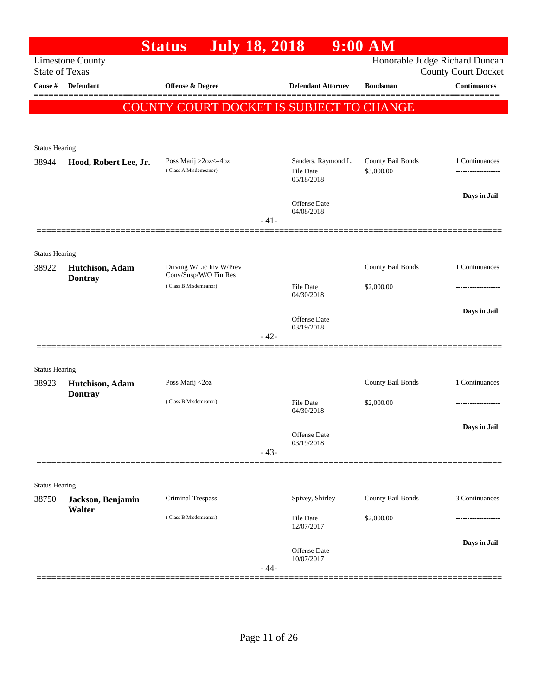|                       |                                   | <b>July 18, 2018</b><br><b>Status</b>             |        |                                  | 9:00 AM                         |                                                              |
|-----------------------|-----------------------------------|---------------------------------------------------|--------|----------------------------------|---------------------------------|--------------------------------------------------------------|
| <b>State of Texas</b> | <b>Limestone County</b>           |                                                   |        |                                  |                                 | Honorable Judge Richard Duncan<br><b>County Court Docket</b> |
| Cause #               | Defendant                         | Offense & Degree                                  |        | <b>Defendant Attorney</b>        | <b>Bondsman</b>                 | <b>Continuances</b>                                          |
|                       |                                   |                                                   |        |                                  |                                 |                                                              |
|                       |                                   | COUNTY COURT DOCKET IS SUBJECT TO CHANGE          |        |                                  |                                 |                                                              |
|                       |                                   |                                                   |        |                                  |                                 |                                                              |
| <b>Status Hearing</b> |                                   |                                                   |        |                                  |                                 |                                                              |
| 38944                 | Hood, Robert Lee, Jr.             | Poss Marij >2oz<=4oz<br>(Class A Misdemeanor)     |        | Sanders, Raymond L.<br>File Date | County Bail Bonds<br>\$3,000.00 | 1 Continuances<br>                                           |
|                       |                                   |                                                   |        | 05/18/2018                       |                                 |                                                              |
|                       |                                   |                                                   |        | Offense Date                     |                                 | Days in Jail                                                 |
|                       |                                   |                                                   | $-41-$ | 04/08/2018                       |                                 |                                                              |
|                       |                                   |                                                   |        |                                  |                                 |                                                              |
| <b>Status Hearing</b> |                                   |                                                   |        |                                  |                                 |                                                              |
| 38922                 | Hutchison, Adam                   | Driving W/Lic Inv W/Prev<br>Conv/Susp/W/O Fin Res |        |                                  | County Bail Bonds               | 1 Continuances                                               |
|                       | <b>Dontray</b>                    | (Class B Misdemeanor)                             |        | <b>File Date</b>                 | \$2,000.00                      |                                                              |
|                       |                                   |                                                   |        | 04/30/2018                       |                                 |                                                              |
|                       |                                   |                                                   |        | Offense Date                     |                                 | Days in Jail                                                 |
|                       |                                   |                                                   | $-42-$ | 03/19/2018                       |                                 |                                                              |
|                       |                                   |                                                   |        |                                  |                                 |                                                              |
| <b>Status Hearing</b> |                                   |                                                   |        |                                  |                                 |                                                              |
| 38923                 | Hutchison, Adam<br><b>Dontray</b> | Poss Marij <2oz                                   |        |                                  | County Bail Bonds               | 1 Continuances                                               |
|                       |                                   | (Class B Misdemeanor)                             |        | <b>File Date</b><br>04/30/2018   | \$2,000.00                      |                                                              |
|                       |                                   |                                                   |        |                                  |                                 | Days in Jail                                                 |
|                       |                                   |                                                   |        | Offense Date<br>03/19/2018       |                                 |                                                              |
|                       |                                   |                                                   | $-43-$ |                                  |                                 |                                                              |
|                       |                                   |                                                   |        |                                  |                                 |                                                              |
| <b>Status Hearing</b> |                                   |                                                   |        |                                  |                                 |                                                              |
| 38750                 | Jackson, Benjamin<br>Walter       | Criminal Trespass                                 |        | Spivey, Shirley                  | County Bail Bonds               | 3 Continuances                                               |
|                       |                                   | (Class B Misdemeanor)                             |        | File Date<br>12/07/2017          | \$2,000.00                      |                                                              |
|                       |                                   |                                                   |        |                                  |                                 | Days in Jail                                                 |
|                       |                                   |                                                   |        | Offense Date<br>10/07/2017       |                                 |                                                              |
|                       |                                   |                                                   | $-44-$ |                                  |                                 |                                                              |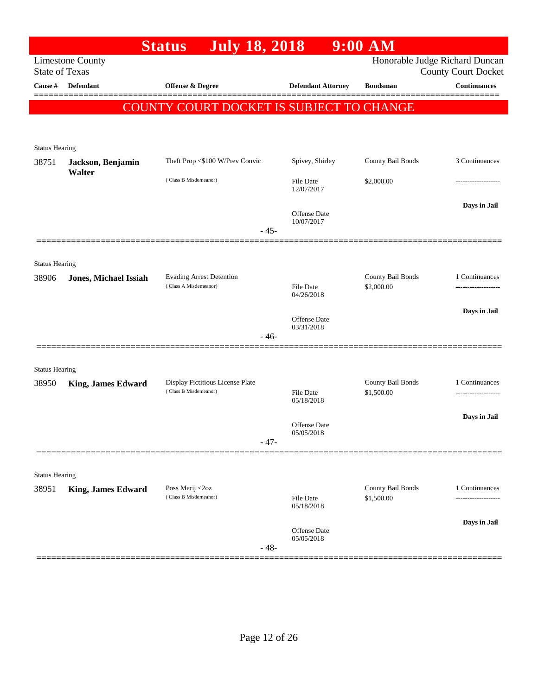|                       |                                                  | <b>July 18, 2018</b><br><b>Status</b>                     |                                   | $9:00$ AM                       |                                    |
|-----------------------|--------------------------------------------------|-----------------------------------------------------------|-----------------------------------|---------------------------------|------------------------------------|
|                       | <b>Limestone County</b><br><b>State of Texas</b> |                                                           |                                   | Honorable Judge Richard Duncan  | <b>County Court Docket</b>         |
| Cause #               | Defendant                                        | Offense & Degree                                          | <b>Defendant Attorney</b>         | <b>Bondsman</b>                 | <b>Continuances</b>                |
|                       |                                                  | <b>COUNTY COURT DOCKET IS SUBJECT TO CHANGE</b>           |                                   |                                 |                                    |
| <b>Status Hearing</b> |                                                  |                                                           |                                   |                                 |                                    |
| 38751                 | Jackson, Benjamin<br>Walter                      | Theft Prop <\$100 W/Prev Convic                           | Spivey, Shirley                   | County Bail Bonds               | 3 Continuances                     |
|                       |                                                  | (Class B Misdemeanor)                                     | File Date<br>12/07/2017           | \$2,000.00                      |                                    |
|                       |                                                  | $-45-$                                                    | Offense Date<br>10/07/2017        |                                 | Days in Jail                       |
| <b>Status Hearing</b> |                                                  |                                                           |                                   |                                 |                                    |
| 38906                 | <b>Jones, Michael Issiah</b>                     | <b>Evading Arrest Detention</b><br>(Class A Misdemeanor)  | <b>File Date</b><br>04/26/2018    | County Bail Bonds<br>\$2,000.00 | 1 Continuances                     |
|                       |                                                  |                                                           | <b>Offense Date</b><br>03/31/2018 |                                 | Days in Jail                       |
|                       |                                                  | $-46-$                                                    |                                   |                                 |                                    |
| <b>Status Hearing</b> |                                                  |                                                           |                                   |                                 |                                    |
| 38950                 | <b>King, James Edward</b>                        | Display Fictitious License Plate<br>(Class B Misdemeanor) | <b>File Date</b><br>05/18/2018    | County Bail Bonds<br>\$1,500.00 | 1 Continuances<br>---------------- |
|                       |                                                  | $-47-$                                                    | Offense Date<br>05/05/2018        |                                 | Days in Jail                       |
|                       |                                                  |                                                           |                                   |                                 |                                    |
| <b>Status Hearing</b> |                                                  |                                                           |                                   |                                 |                                    |
| 38951                 | <b>King, James Edward</b>                        | Poss Marij <2oz<br>(Class B Misdemeanor)                  | <b>File Date</b><br>05/18/2018    | County Bail Bonds<br>\$1,500.00 | 1 Continuances                     |
|                       |                                                  | $-48-$                                                    | Offense Date<br>05/05/2018        |                                 | Days in Jail                       |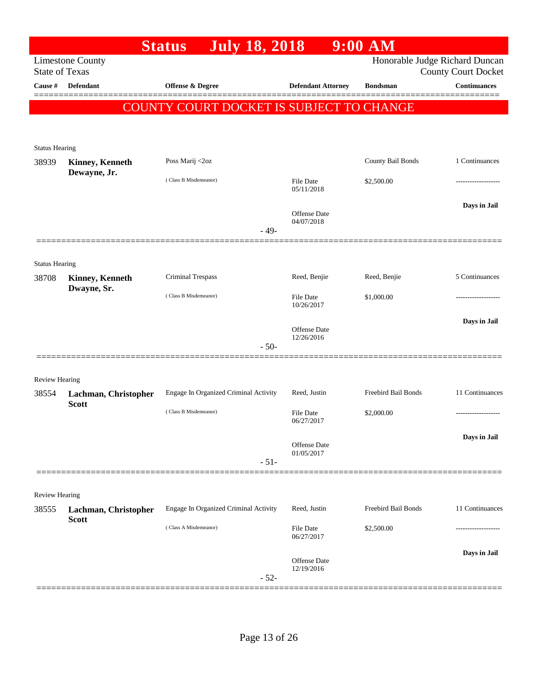|                       |                                       | <b>July 18, 2018</b><br><b>Status</b>    |                                      | $9:00$ AM                  |                                                              |
|-----------------------|---------------------------------------|------------------------------------------|--------------------------------------|----------------------------|--------------------------------------------------------------|
| <b>State of Texas</b> | <b>Limestone County</b>               |                                          |                                      |                            | Honorable Judge Richard Duncan<br><b>County Court Docket</b> |
| Cause #               | Defendant                             | Offense & Degree                         | <b>Defendant Attorney</b>            | <b>Bondsman</b>            | <b>Continuances</b>                                          |
|                       |                                       | COUNTY COURT DOCKET IS SUBJECT TO CHANGE |                                      |                            |                                                              |
|                       |                                       |                                          |                                      |                            |                                                              |
| <b>Status Hearing</b> |                                       |                                          |                                      |                            |                                                              |
| 38939                 | <b>Kinney, Kenneth</b>                | Poss Marij <2oz                          |                                      | County Bail Bonds          | 1 Continuances                                               |
|                       | Dewayne, Jr.                          | (Class B Misdemeanor)                    | File Date<br>05/11/2018              | \$2,500.00                 |                                                              |
|                       |                                       |                                          | Offense Date<br>04/07/2018           |                            | Days in Jail                                                 |
|                       |                                       |                                          | $-49-$                               |                            |                                                              |
| <b>Status Hearing</b> |                                       |                                          |                                      |                            |                                                              |
| 38708                 | <b>Kinney, Kenneth</b><br>Dwayne, Sr. | Criminal Trespass                        | Reed, Benjie                         | Reed, Benjie               | 5 Continuances                                               |
|                       |                                       | (Class B Misdemeanor)                    | File Date<br>10/26/2017              | \$1,000.00                 |                                                              |
|                       |                                       |                                          | Offense Date<br>12/26/2016           |                            | Days in Jail                                                 |
|                       |                                       |                                          | $-50-$                               |                            |                                                              |
| <b>Review Hearing</b> |                                       |                                          |                                      |                            |                                                              |
| 38554                 | Lachman, Christopher<br><b>Scott</b>  | Engage In Organized Criminal Activity    | Reed, Justin                         | Freebird Bail Bonds        | 11 Continuances                                              |
|                       |                                       | (Class B Misdemeanor)                    | File Date<br>06/27/2017              | \$2,000.00                 | .                                                            |
|                       |                                       |                                          | Offense Date                         |                            | Days in Jail                                                 |
|                       |                                       |                                          | 01/05/2017<br>$-51-$                 |                            |                                                              |
| Review Hearing        |                                       |                                          |                                      |                            |                                                              |
| 38555                 | Lachman, Christopher<br><b>Scott</b>  | Engage In Organized Criminal Activity    | Reed, Justin                         | <b>Freebird Bail Bonds</b> | 11 Continuances                                              |
|                       |                                       | (Class A Misdemeanor)                    | <b>File Date</b><br>06/27/2017       | \$2,500.00                 |                                                              |
|                       |                                       |                                          | Offense Date<br>12/19/2016<br>$-52-$ |                            | Days in Jail                                                 |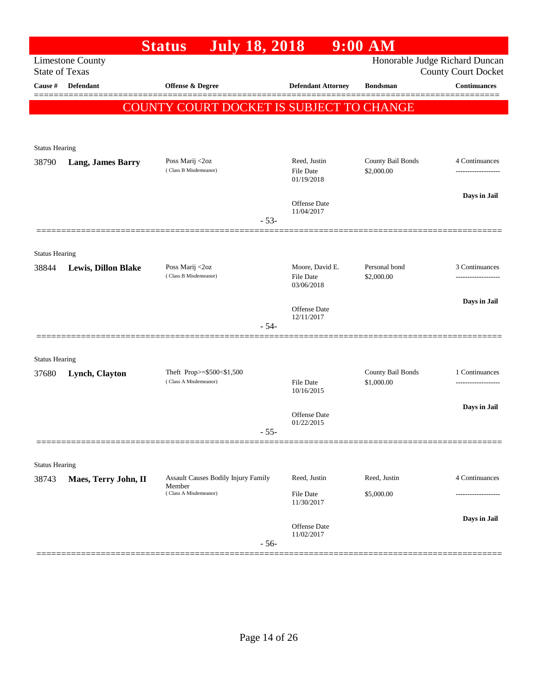|                       |                            | <b>July 18, 2018</b><br><b>Status</b>           |                                                   | $9:00$ AM                       |                                                              |
|-----------------------|----------------------------|-------------------------------------------------|---------------------------------------------------|---------------------------------|--------------------------------------------------------------|
| <b>State of Texas</b> | <b>Limestone County</b>    |                                                 |                                                   |                                 | Honorable Judge Richard Duncan<br><b>County Court Docket</b> |
| Cause #               | Defendant                  | <b>Offense &amp; Degree</b>                     | <b>Defendant Attorney</b>                         | <b>Bondsman</b>                 | <b>Continuances</b><br>========                              |
|                       |                            | <b>COUNTY COURT DOCKET IS SUBJECT TO CHANGE</b> |                                                   |                                 |                                                              |
|                       |                            |                                                 |                                                   |                                 |                                                              |
| <b>Status Hearing</b> |                            |                                                 |                                                   |                                 |                                                              |
| 38790                 | <b>Lang, James Barry</b>   | Poss Marij <2oz<br>(Class B Misdemeanor)        | Reed, Justin<br>File Date<br>01/19/2018           | County Bail Bonds<br>\$2,000.00 | 4 Continuances                                               |
|                       |                            |                                                 | Offense Date<br>11/04/2017                        |                                 | Days in Jail                                                 |
|                       |                            |                                                 | $-53-$                                            |                                 |                                                              |
| <b>Status Hearing</b> |                            |                                                 |                                                   |                                 |                                                              |
| 38844                 | <b>Lewis, Dillon Blake</b> | Poss Marij <2oz<br>(Class B Misdemeanor)        | Moore, David E.<br><b>File Date</b><br>03/06/2018 | Personal bond<br>\$2,000.00     | 3 Continuances                                               |
|                       |                            |                                                 | Offense Date                                      |                                 | Days in Jail                                                 |
|                       |                            |                                                 | 12/11/2017<br>$-54-$                              |                                 |                                                              |
| <b>Status Hearing</b> |                            |                                                 |                                                   |                                 |                                                              |
| 37680                 | Lynch, Clayton             | Theft Prop>=\$500<\$1,500                       |                                                   | County Bail Bonds               | 1 Continuances                                               |
|                       |                            | (Class A Misdemeanor)                           | <b>File Date</b><br>10/16/2015                    | \$1,000.00                      |                                                              |
|                       |                            |                                                 | Offense Date<br>01/22/2015                        |                                 | Days in Jail                                                 |
|                       |                            |                                                 | $55 -$                                            |                                 |                                                              |
| <b>Status Hearing</b> |                            |                                                 |                                                   |                                 |                                                              |
| 38743                 | Maes, Terry John, II       | Assault Causes Bodily Injury Family             | Reed, Justin                                      | Reed, Justin                    | 4 Continuances                                               |
|                       |                            | Member<br>(Class A Misdemeanor)                 | File Date<br>11/30/2017                           | \$5,000.00                      |                                                              |
|                       |                            |                                                 | Offense Date<br>11/02/2017<br>$-56-$              |                                 | Days in Jail                                                 |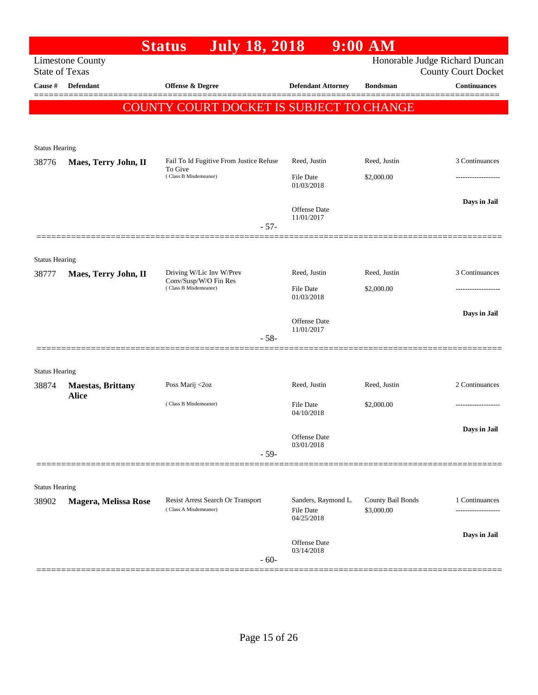|                                  |                          | <b>July 18, 2018</b><br><b>Status</b>          |                           | $9:00$ AM         |                                                   |
|----------------------------------|--------------------------|------------------------------------------------|---------------------------|-------------------|---------------------------------------------------|
|                                  | <b>Limestone County</b>  |                                                |                           |                   | Honorable Judge Richard Duncan                    |
| <b>State of Texas</b><br>Cause # | <b>Defendant</b>         | <b>Offense &amp; Degree</b>                    | <b>Defendant Attorney</b> | <b>Bondsman</b>   | <b>County Court Docket</b><br><b>Continuances</b> |
|                                  |                          |                                                |                           |                   |                                                   |
|                                  |                          | COUNTY COURT DOCKET IS SUBJECT TO CHANGE       |                           |                   |                                                   |
|                                  |                          |                                                |                           |                   |                                                   |
| <b>Status Hearing</b>            |                          |                                                |                           |                   |                                                   |
| 38776                            | Maes, Terry John, II     | Fail To Id Fugitive From Justice Refuse        | Reed, Justin              | Reed, Justin      | 3 Continuances                                    |
|                                  |                          | To Give<br>(Class B Misdemeanor)               | File Date                 | \$2,000.00        |                                                   |
|                                  |                          |                                                | 01/03/2018                |                   |                                                   |
|                                  |                          |                                                | <b>Offense</b> Date       |                   | Days in Jail                                      |
|                                  |                          | $-57-$                                         | 11/01/2017                |                   |                                                   |
|                                  |                          |                                                |                           |                   |                                                   |
| <b>Status Hearing</b>            |                          |                                                |                           |                   |                                                   |
| 38777                            | Maes, Terry John, II     | Driving W/Lic Inv W/Prev                       | Reed, Justin              | Reed, Justin      | 3 Continuances                                    |
|                                  |                          | Conv/Susp/W/O Fin Res<br>(Class B Misdemeanor) | File Date                 | \$2,000.00        |                                                   |
|                                  |                          |                                                | 01/03/2018                |                   |                                                   |
|                                  |                          |                                                | <b>Offense</b> Date       |                   | Days in Jail                                      |
|                                  |                          | $-58-$                                         | 11/01/2017                |                   |                                                   |
|                                  |                          |                                                |                           |                   |                                                   |
| <b>Status Hearing</b>            |                          |                                                |                           |                   |                                                   |
| 38874                            | <b>Maestas, Brittany</b> | Poss Marij <2oz                                | Reed, Justin              | Reed, Justin      | 2 Continuances                                    |
|                                  | <b>Alice</b>             | (Class B Misdemeanor)                          | File Date                 | \$2,000.00        |                                                   |
|                                  |                          |                                                | 04/10/2018                |                   |                                                   |
|                                  |                          |                                                | Offense Date              |                   | Days in Jail                                      |
|                                  |                          |                                                | 03/01/2018                |                   |                                                   |
|                                  |                          | $-59-$                                         |                           |                   |                                                   |
|                                  |                          |                                                |                           |                   |                                                   |
| <b>Status Hearing</b>            |                          | Resist Arrest Search Or Transport              | Sanders, Raymond L.       | County Bail Bonds | 1 Continuances                                    |
| 38902                            | Magera, Melissa Rose     | (Class A Misdemeanor)                          | <b>File Date</b>          | \$3,000.00        | ------------------                                |
|                                  |                          |                                                | 04/25/2018                |                   |                                                   |
|                                  |                          |                                                | Offense Date              |                   | Days in Jail                                      |
|                                  |                          | $-60-$                                         | 03/14/2018                |                   |                                                   |
|                                  |                          |                                                |                           |                   |                                                   |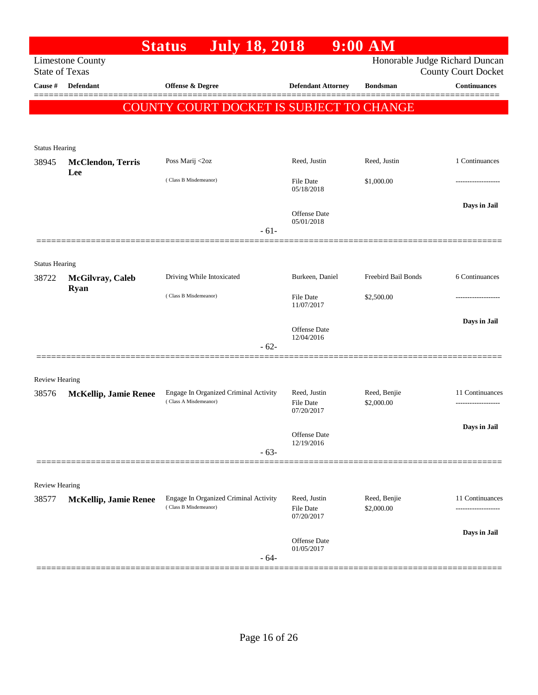|                                |                                 | <b>July 18, 2018</b><br><b>Status</b>                          |                                         | $9:00$ AM                  |                                                   |
|--------------------------------|---------------------------------|----------------------------------------------------------------|-----------------------------------------|----------------------------|---------------------------------------------------|
| <b>State of Texas</b>          | <b>Limestone County</b>         |                                                                |                                         |                            | Honorable Judge Richard Duncan                    |
| Cause #                        | Defendant                       | <b>Offense &amp; Degree</b>                                    | <b>Defendant Attorney</b>               | <b>Bondsman</b>            | <b>County Court Docket</b><br><b>Continuances</b> |
|                                |                                 |                                                                |                                         |                            | =======                                           |
|                                |                                 | COUNTY COURT DOCKET IS SUBJECT TO CHANGE                       |                                         |                            |                                                   |
|                                |                                 |                                                                |                                         |                            |                                                   |
| <b>Status Hearing</b>          |                                 |                                                                |                                         |                            |                                                   |
| 38945                          | <b>McClendon, Terris</b>        | Poss Marij <2oz                                                | Reed, Justin                            | Reed, Justin               | 1 Continuances                                    |
|                                | Lee                             | (Class B Misdemeanor)                                          | File Date<br>05/18/2018                 | \$1,000.00                 |                                                   |
|                                |                                 |                                                                |                                         |                            | Days in Jail                                      |
|                                |                                 |                                                                | Offense Date<br>05/01/2018              |                            |                                                   |
|                                |                                 | $-61-$                                                         |                                         |                            |                                                   |
|                                |                                 |                                                                |                                         |                            |                                                   |
| <b>Status Hearing</b>          |                                 |                                                                | Burkeen, Daniel                         | Freebird Bail Bonds        | 6 Continuances                                    |
| 38722                          | McGilvray, Caleb<br><b>Ryan</b> | Driving While Intoxicated                                      |                                         |                            |                                                   |
|                                |                                 | (Class B Misdemeanor)                                          | File Date<br>11/07/2017                 | \$2,500.00                 |                                                   |
|                                |                                 |                                                                |                                         |                            | Days in Jail                                      |
|                                |                                 |                                                                | Offense Date<br>12/04/2016              |                            |                                                   |
|                                |                                 | $-62-$                                                         |                                         |                            |                                                   |
|                                |                                 |                                                                |                                         |                            |                                                   |
| <b>Review Hearing</b><br>38576 | <b>McKellip, Jamie Renee</b>    | Engage In Organized Criminal Activity                          | Reed, Justin                            | Reed, Benjie               | 11 Continuances                                   |
|                                |                                 | (Class A Misdemeanor)                                          | File Date                               | \$2,000.00                 |                                                   |
|                                |                                 |                                                                | 07/20/2017                              |                            |                                                   |
|                                |                                 |                                                                | Offense Date<br>12/19/2016              |                            | Days in Jail                                      |
|                                |                                 | $-63-$                                                         |                                         |                            |                                                   |
|                                |                                 |                                                                |                                         |                            |                                                   |
| <b>Review Hearing</b>          |                                 |                                                                |                                         |                            |                                                   |
| 38577                          | <b>McKellip, Jamie Renee</b>    | Engage In Organized Criminal Activity<br>(Class B Misdemeanor) | Reed, Justin<br>File Date<br>07/20/2017 | Reed, Benjie<br>\$2,000.00 | 11 Continuances                                   |
|                                |                                 |                                                                |                                         |                            | Days in Jail                                      |
|                                |                                 | $-64-$                                                         | Offense Date<br>01/05/2017              |                            |                                                   |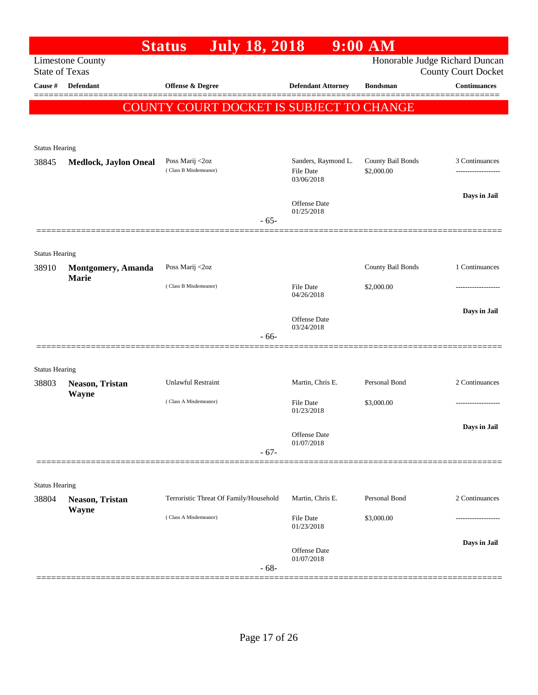|                                |                              | <b>July 18, 2018</b><br><b>Status</b>    |        |                                   | $9:00$ AM                       |                                |
|--------------------------------|------------------------------|------------------------------------------|--------|-----------------------------------|---------------------------------|--------------------------------|
|                                | <b>Limestone County</b>      |                                          |        |                                   |                                 | Honorable Judge Richard Duncan |
| <b>State of Texas</b>          |                              |                                          |        |                                   |                                 | <b>County Court Docket</b>     |
| Cause #                        | Defendant                    | Offense & Degree                         |        | <b>Defendant Attorney</b>         | <b>Bondsman</b>                 | <b>Continuances</b>            |
|                                |                              | COUNTY COURT DOCKET IS SUBJECT TO CHANGE |        |                                   |                                 |                                |
|                                |                              |                                          |        |                                   |                                 |                                |
|                                |                              |                                          |        |                                   |                                 |                                |
| <b>Status Hearing</b>          |                              |                                          |        |                                   |                                 |                                |
| 38845                          | <b>Medlock, Jaylon Oneal</b> | Poss Marij <2oz<br>(Class B Misdemeanor) |        | Sanders, Raymond L.<br>File Date  | County Bail Bonds<br>\$2,000.00 | 3 Continuances                 |
|                                |                              |                                          |        | 03/06/2018                        |                                 |                                |
|                                |                              |                                          |        | <b>Offense Date</b>               |                                 | Days in Jail                   |
|                                |                              |                                          | $-65-$ | 01/25/2018                        |                                 |                                |
|                                |                              |                                          |        |                                   |                                 |                                |
|                                |                              |                                          |        |                                   |                                 |                                |
| <b>Status Hearing</b><br>38910 | <b>Montgomery</b> , Amanda   | Poss Marij <2oz                          |        |                                   | County Bail Bonds               | 1 Continuances                 |
|                                | <b>Marie</b>                 |                                          |        |                                   |                                 |                                |
|                                |                              | (Class B Misdemeanor)                    |        | <b>File Date</b><br>04/26/2018    | \$2,000.00                      |                                |
|                                |                              |                                          |        |                                   |                                 | Days in Jail                   |
|                                |                              |                                          |        | <b>Offense Date</b><br>03/24/2018 |                                 |                                |
|                                |                              |                                          | $-66-$ |                                   |                                 |                                |
|                                |                              |                                          |        |                                   |                                 |                                |
| <b>Status Hearing</b>          |                              |                                          |        |                                   |                                 |                                |
| 38803                          | Neason, Tristan              | <b>Unlawful Restraint</b>                |        | Martin, Chris E.                  | Personal Bond                   | 2 Continuances                 |
|                                | Wayne                        | (Class A Misdemeanor)                    |        | <b>File Date</b>                  | \$3,000.00                      |                                |
|                                |                              |                                          |        | 01/23/2018                        |                                 |                                |
|                                |                              |                                          |        | Offense Date                      |                                 | Days in Jail                   |
|                                |                              |                                          | $-67-$ | 01/07/2018                        |                                 |                                |
|                                |                              |                                          |        |                                   |                                 |                                |
|                                |                              |                                          |        |                                   |                                 |                                |
| <b>Status Hearing</b><br>38804 | Neason, Tristan              | Terroristic Threat Of Family/Household   |        | Martin, Chris E.                  | Personal Bond                   | 2 Continuances                 |
|                                | Wayne                        |                                          |        |                                   |                                 |                                |
|                                |                              | (Class A Misdemeanor)                    |        | <b>File Date</b><br>01/23/2018    | \$3,000.00                      |                                |
|                                |                              |                                          |        |                                   |                                 | Days in Jail                   |
|                                |                              |                                          |        | Offense Date<br>01/07/2018        |                                 |                                |
|                                |                              |                                          | $-68-$ |                                   |                                 |                                |
|                                |                              |                                          |        |                                   |                                 |                                |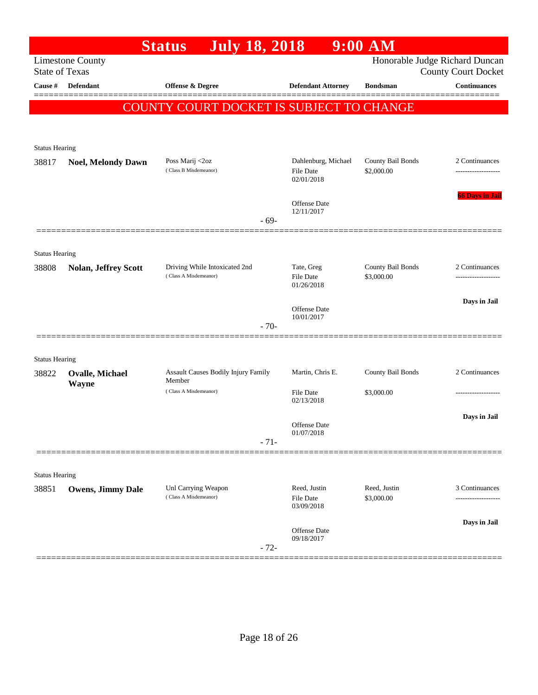|                       |                             | <b>July 18, 2018</b><br><b>Status</b>                  |                                   | $9:00$ AM                       |                                                   |
|-----------------------|-----------------------------|--------------------------------------------------------|-----------------------------------|---------------------------------|---------------------------------------------------|
| <b>State of Texas</b> | <b>Limestone County</b>     |                                                        |                                   |                                 | Honorable Judge Richard Duncan                    |
| <b>Cause</b> #        | Defendant                   | <b>Offense &amp; Degree</b>                            | <b>Defendant Attorney</b>         | <b>Bondsman</b>                 | <b>County Court Docket</b><br><b>Continuances</b> |
|                       |                             |                                                        |                                   |                                 |                                                   |
|                       |                             | <b>COUNTY COURT DOCKET IS SUBJECT TO CHANGE</b>        |                                   |                                 |                                                   |
|                       |                             |                                                        |                                   |                                 |                                                   |
| <b>Status Hearing</b> |                             |                                                        |                                   |                                 |                                                   |
| 38817                 | <b>Noel, Melondy Dawn</b>   | Poss Marij <2oz                                        | Dahlenburg, Michael               | County Bail Bonds               | 2 Continuances                                    |
|                       |                             | (Class B Misdemeanor)                                  | <b>File Date</b><br>02/01/2018    | \$2,000.00                      |                                                   |
|                       |                             |                                                        |                                   |                                 | <b>66 Days in Jail</b>                            |
|                       |                             |                                                        | <b>Offense Date</b><br>12/11/2017 |                                 |                                                   |
|                       |                             | $-69-$                                                 |                                   |                                 |                                                   |
|                       |                             |                                                        |                                   |                                 |                                                   |
| <b>Status Hearing</b> |                             |                                                        |                                   |                                 |                                                   |
| 38808                 | <b>Nolan, Jeffrey Scott</b> | Driving While Intoxicated 2nd<br>(Class A Misdemeanor) | Tate, Greg<br><b>File Date</b>    | County Bail Bonds<br>\$3,000.00 | 2 Continuances                                    |
|                       |                             |                                                        | 01/26/2018                        |                                 |                                                   |
|                       |                             |                                                        | <b>Offense Date</b>               |                                 | Days in Jail                                      |
|                       |                             | $-70-$                                                 | 10/01/2017                        |                                 |                                                   |
|                       |                             |                                                        |                                   |                                 |                                                   |
| <b>Status Hearing</b> |                             |                                                        |                                   |                                 |                                                   |
| 38822                 | <b>Ovalle, Michael</b>      | Assault Causes Bodily Injury Family                    | Martin, Chris E.                  | County Bail Bonds               | 2 Continuances                                    |
|                       | Wayne                       | Member<br>(Class A Misdemeanor)                        | File Date                         | \$3,000.00                      |                                                   |
|                       |                             |                                                        | 02/13/2018                        |                                 |                                                   |
|                       |                             |                                                        | <b>Offense Date</b>               |                                 | Days in Jail                                      |
|                       |                             | $-71-$                                                 | 01/07/2018                        |                                 |                                                   |
|                       |                             |                                                        |                                   |                                 |                                                   |
| <b>Status Hearing</b> |                             |                                                        |                                   |                                 |                                                   |
| 38851                 | <b>Owens, Jimmy Dale</b>    | Unl Carrying Weapon                                    | Reed, Justin                      | Reed, Justin                    | 3 Continuances                                    |
|                       |                             | (Class A Misdemeanor)                                  | <b>File Date</b><br>03/09/2018    | \$3,000.00                      | .                                                 |
|                       |                             |                                                        |                                   |                                 | Days in Jail                                      |
|                       |                             |                                                        | <b>Offense Date</b><br>09/18/2017 |                                 |                                                   |
|                       |                             | $-72-$                                                 |                                   |                                 |                                                   |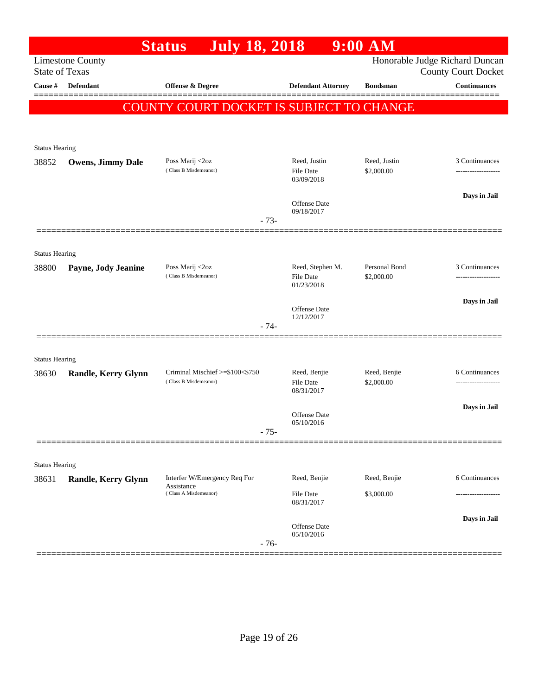|                                |                            | <b>July 18, 2018</b><br><b>Status</b>                    |                                   | $9:00$ AM                  |                                                              |
|--------------------------------|----------------------------|----------------------------------------------------------|-----------------------------------|----------------------------|--------------------------------------------------------------|
| <b>State of Texas</b>          | <b>Limestone County</b>    |                                                          |                                   |                            | Honorable Judge Richard Duncan<br><b>County Court Docket</b> |
| Cause #                        | <b>Defendant</b>           | Offense & Degree                                         | <b>Defendant Attorney</b>         | <b>Bondsman</b>            | <b>Continuances</b>                                          |
|                                |                            | COUNTY COURT DOCKET IS SUBJECT TO CHANGE                 |                                   |                            |                                                              |
|                                |                            |                                                          |                                   |                            |                                                              |
| <b>Status Hearing</b>          |                            |                                                          |                                   |                            |                                                              |
| 38852                          | <b>Owens, Jimmy Dale</b>   | Poss Marij <2oz<br>(Class B Misdemeanor)                 | Reed, Justin<br><b>File Date</b>  | Reed, Justin<br>\$2,000.00 | 3 Continuances                                               |
|                                |                            |                                                          | 03/09/2018                        |                            |                                                              |
|                                |                            |                                                          | Offense Date                      |                            | Days in Jail                                                 |
|                                |                            | $-73-$                                                   | 09/18/2017                        |                            |                                                              |
|                                |                            |                                                          |                                   |                            |                                                              |
| <b>Status Hearing</b><br>38800 | Payne, Jody Jeanine        | Poss Marij <2oz                                          | Reed, Stephen M.                  | Personal Bond              | 3 Continuances                                               |
|                                |                            | (Class B Misdemeanor)                                    | <b>File Date</b><br>01/23/2018    | \$2,000.00                 |                                                              |
|                                |                            |                                                          |                                   |                            | Days in Jail                                                 |
|                                |                            | $-74-$                                                   | <b>Offense Date</b><br>12/12/2017 |                            |                                                              |
|                                |                            |                                                          |                                   |                            |                                                              |
| <b>Status Hearing</b>          |                            |                                                          |                                   |                            |                                                              |
| 38630                          | Randle, Kerry Glynn        | Criminal Mischief >=\$100<\$750<br>(Class B Misdemeanor) | Reed, Benjie<br><b>File Date</b>  | Reed, Benjie<br>\$2,000.00 | 6 Continuances<br>                                           |
|                                |                            |                                                          | 08/31/2017                        |                            |                                                              |
|                                |                            |                                                          | Offense Date<br>05/10/2016        |                            | Days in Jail                                                 |
|                                |                            | - 75-                                                    |                                   |                            |                                                              |
|                                |                            |                                                          |                                   |                            |                                                              |
| <b>Status Hearing</b><br>38631 | <b>Randle, Kerry Glynn</b> | Interfer W/Emergency Req For                             | Reed, Benjie                      | Reed, Benjie               | 6 Continuances                                               |
|                                |                            | Assistance<br>(Class A Misdemeanor)                      | File Date                         | \$3,000.00                 |                                                              |
|                                |                            |                                                          | 08/31/2017                        |                            | Days in Jail                                                 |
|                                |                            |                                                          | Offense Date<br>05/10/2016        |                            |                                                              |
|                                |                            | $-76-$                                                   |                                   |                            |                                                              |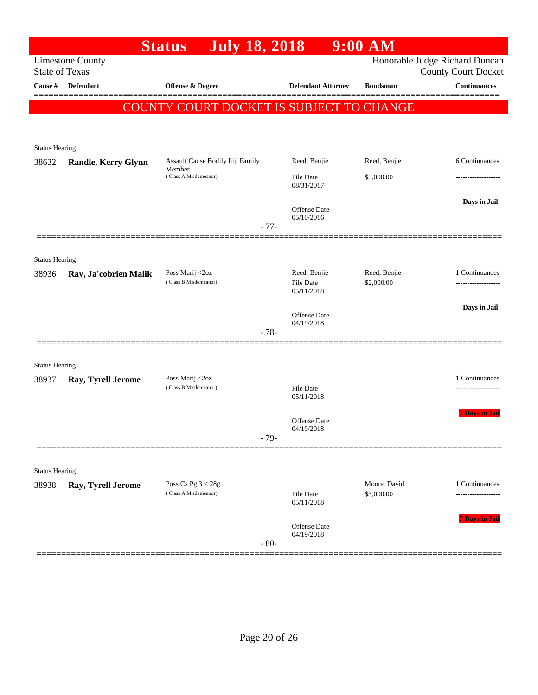|                       |                         | <b>July 18, 2018</b><br><b>Status</b>      |                                | $9:00$ AM       |                                                              |
|-----------------------|-------------------------|--------------------------------------------|--------------------------------|-----------------|--------------------------------------------------------------|
| <b>State of Texas</b> | <b>Limestone County</b> |                                            |                                |                 | Honorable Judge Richard Duncan<br><b>County Court Docket</b> |
| Cause #               | <b>Defendant</b>        | Offense & Degree                           | <b>Defendant Attorney</b>      | <b>Bondsman</b> | <b>Continuances</b>                                          |
|                       |                         | COUNTY COURT DOCKET IS SUBJECT TO CHANGE   |                                |                 |                                                              |
|                       |                         |                                            |                                |                 |                                                              |
| <b>Status Hearing</b> |                         |                                            |                                |                 |                                                              |
| 38632                 | Randle, Kerry Glynn     | Assault Cause Bodily Inj. Family<br>Member | Reed, Benjie                   | Reed, Benjie    | 6 Continuances                                               |
|                       |                         | (Class A Misdemeanor)                      | <b>File Date</b><br>08/31/2017 | \$3,000.00      |                                                              |
|                       |                         | $-77-$                                     | Offense Date<br>05/10/2016     |                 | Days in Jail                                                 |
|                       |                         |                                            |                                |                 |                                                              |
| <b>Status Hearing</b> |                         |                                            |                                |                 |                                                              |
| 38936                 | Ray, Ja'cobrien Malik   | Poss Marij <2oz                            | Reed, Benjie                   | Reed, Benjie    | 1 Continuances                                               |
|                       |                         | (Class B Misdemeanor)                      | <b>File Date</b><br>05/11/2018 | \$2,000.00      |                                                              |
|                       |                         |                                            | Offense Date                   |                 | Days in Jail                                                 |
|                       |                         | $-78-$                                     | 04/19/2018                     |                 |                                                              |
|                       |                         |                                            |                                |                 |                                                              |
| <b>Status Hearing</b> |                         |                                            |                                |                 |                                                              |
| 38937                 | Ray, Tyrell Jerome      | Poss Marij <2oz                            |                                |                 | 1 Continuances                                               |
|                       |                         | (Class B Misdemeanor)                      | <b>File Date</b><br>05/11/2018 |                 | .                                                            |
|                       |                         |                                            | <b>Offense Date</b>            |                 | <b>7 Days in Jail</b>                                        |
|                       |                         | $-79-$                                     | 04/19/2018                     |                 |                                                              |
|                       |                         |                                            |                                |                 |                                                              |
| <b>Status Hearing</b> |                         |                                            |                                |                 |                                                              |
| 38938                 | Ray, Tyrell Jerome      | Poss Cs Pg $3 < 28g$                       |                                | Moore, David    | 1 Continuances                                               |
|                       |                         | (Class A Misdemeanor)                      | File Date<br>05/11/2018        | \$3,000.00      | .                                                            |
|                       |                         |                                            | Offense Date<br>04/19/2018     |                 | <b>7 Days in Jail</b>                                        |
|                       |                         | $-80-$                                     |                                |                 |                                                              |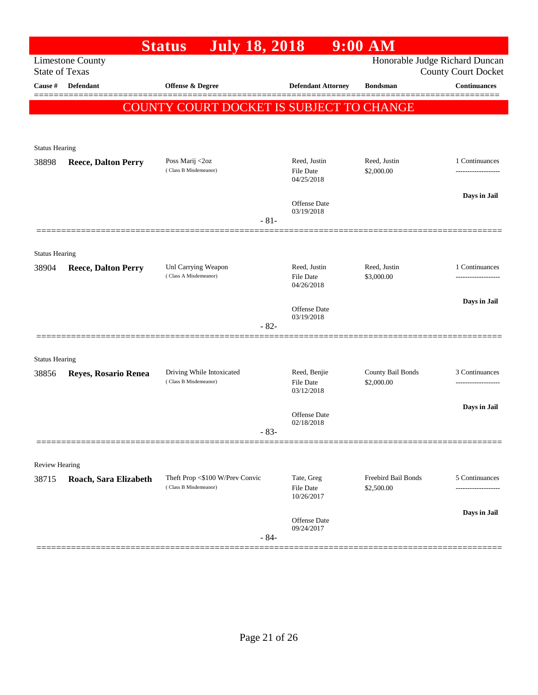|                                |                                                  | <b>July 18, 2018</b><br><b>Status</b>                    |                                         | $9:00$ AM                         |                                      |
|--------------------------------|--------------------------------------------------|----------------------------------------------------------|-----------------------------------------|-----------------------------------|--------------------------------------|
|                                | <b>Limestone County</b><br><b>State of Texas</b> |                                                          |                                         | Honorable Judge Richard Duncan    | <b>County Court Docket</b>           |
| Cause #                        | <b>Defendant</b>                                 | Offense & Degree                                         | <b>Defendant Attorney</b>               | <b>Bondsman</b>                   | <b>Continuances</b>                  |
|                                |                                                  | COUNTY COURT DOCKET IS SUBJECT TO CHANGE                 |                                         |                                   |                                      |
|                                |                                                  |                                                          |                                         |                                   |                                      |
| <b>Status Hearing</b>          |                                                  |                                                          |                                         |                                   |                                      |
| 38898                          | <b>Reece, Dalton Perry</b>                       | Poss Marij <2oz<br>(Class B Misdemeanor)                 | Reed, Justin<br>File Date<br>04/25/2018 | Reed, Justin<br>\$2,000.00        | 1 Continuances                       |
|                                |                                                  |                                                          | Offense Date                            |                                   | Days in Jail                         |
|                                |                                                  | $-81-$                                                   | 03/19/2018                              |                                   |                                      |
|                                |                                                  |                                                          |                                         |                                   |                                      |
| <b>Status Hearing</b><br>38904 | <b>Reece, Dalton Perry</b>                       | Unl Carrying Weapon<br>(Class A Misdemeanor)             | Reed, Justin<br>File Date<br>04/26/2018 | Reed, Justin<br>\$3,000.00        | 1 Continuances                       |
|                                |                                                  |                                                          | <b>Offense Date</b>                     |                                   | Days in Jail                         |
|                                |                                                  | $-82-$                                                   | 03/19/2018                              |                                   |                                      |
| <b>Status Hearing</b>          |                                                  |                                                          |                                         |                                   |                                      |
| 38856                          | Reyes, Rosario Renea                             | Driving While Intoxicated<br>(Class B Misdemeanor)       | Reed, Benjie<br>File Date<br>03/12/2018 | County Bail Bonds<br>\$2,000.00   | 3 Continuances                       |
|                                |                                                  |                                                          | <b>Offense Date</b>                     |                                   | Days in Jail                         |
|                                |                                                  | $83 -$                                                   | 02/18/2018                              |                                   |                                      |
| <b>Review Hearing</b>          |                                                  |                                                          |                                         |                                   |                                      |
| 38715                          | Roach, Sara Elizabeth                            | Theft Prop <\$100 W/Prev Convic<br>(Class B Misdemeanor) | Tate, Greg<br>File Date<br>10/26/2017   | Freebird Bail Bonds<br>\$2,500.00 | 5 Continuances<br>------------------ |
|                                |                                                  | $-84-$                                                   | Offense Date<br>09/24/2017              |                                   | Days in Jail                         |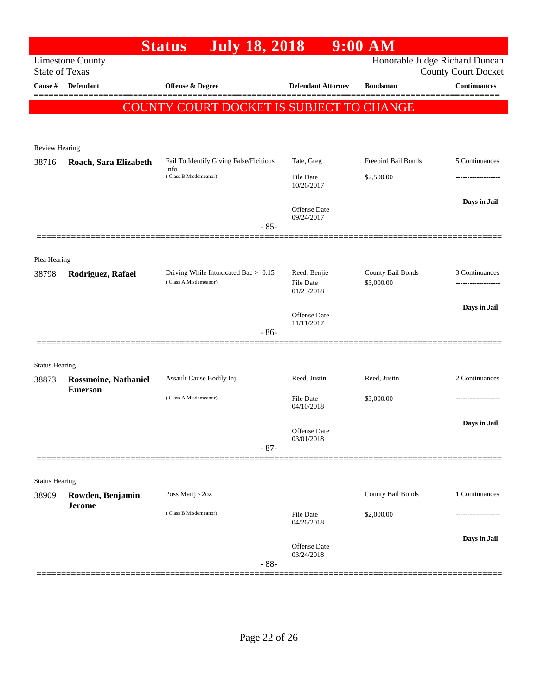| Honorable Judge Richard Duncan<br><b>County Court Docket</b><br><b>Continuances</b><br>5 Continuances<br><b>Freebird Bail Bonds</b><br>Days in Jail |
|-----------------------------------------------------------------------------------------------------------------------------------------------------|
|                                                                                                                                                     |
|                                                                                                                                                     |
|                                                                                                                                                     |
|                                                                                                                                                     |
|                                                                                                                                                     |
|                                                                                                                                                     |
|                                                                                                                                                     |
|                                                                                                                                                     |
|                                                                                                                                                     |
|                                                                                                                                                     |
|                                                                                                                                                     |
| County Bail Bonds<br>3 Continuances                                                                                                                 |
|                                                                                                                                                     |
| Days in Jail                                                                                                                                        |
|                                                                                                                                                     |
|                                                                                                                                                     |
|                                                                                                                                                     |
| 2 Continuances                                                                                                                                      |
|                                                                                                                                                     |
| Days in Jail                                                                                                                                        |
|                                                                                                                                                     |
|                                                                                                                                                     |
|                                                                                                                                                     |
| County Bail Bonds<br>1 Continuances                                                                                                                 |
|                                                                                                                                                     |
|                                                                                                                                                     |
| Days in Jail                                                                                                                                        |
|                                                                                                                                                     |
|                                                                                                                                                     |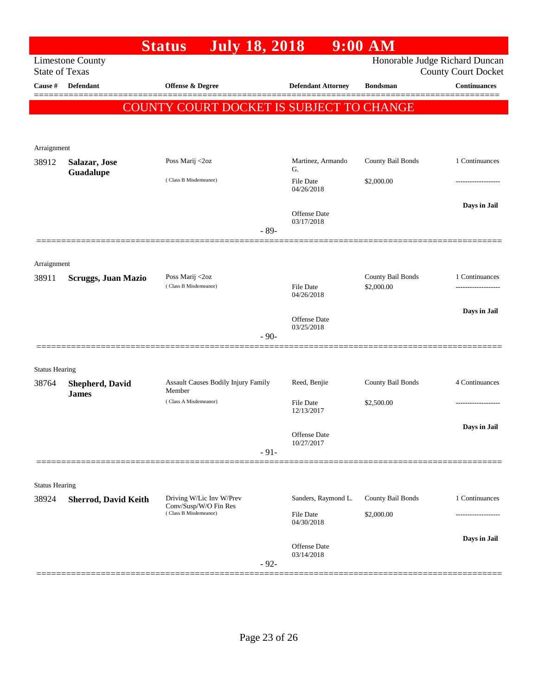|                       |                             | <b>July 18, 2018</b><br><b>Status</b>          |                            | $9:00$ AM                       |                                                              |
|-----------------------|-----------------------------|------------------------------------------------|----------------------------|---------------------------------|--------------------------------------------------------------|
| <b>State of Texas</b> | <b>Limestone County</b>     |                                                |                            |                                 | Honorable Judge Richard Duncan<br><b>County Court Docket</b> |
| Cause #               | <b>Defendant</b>            | Offense & Degree                               | <b>Defendant Attorney</b>  | <b>Bondsman</b>                 | <b>Continuances</b>                                          |
|                       |                             | COUNTY COURT DOCKET IS SUBJECT TO CHANGE       |                            |                                 |                                                              |
|                       |                             |                                                |                            |                                 |                                                              |
|                       |                             |                                                |                            |                                 |                                                              |
| Arraignment           |                             |                                                | Martinez, Armando          |                                 | 1 Continuances                                               |
| 38912                 | Salazar, Jose<br>Guadalupe  | Poss Marij <2oz                                | G.                         | County Bail Bonds               |                                                              |
|                       |                             | (Class B Misdemeanor)                          | File Date<br>04/26/2018    | \$2,000.00                      |                                                              |
|                       |                             |                                                |                            |                                 | Days in Jail                                                 |
|                       |                             |                                                | Offense Date<br>03/17/2018 |                                 |                                                              |
|                       |                             | $-89-$                                         |                            |                                 |                                                              |
|                       |                             |                                                |                            |                                 |                                                              |
| Arraignment           |                             |                                                |                            |                                 |                                                              |
| 38911                 | <b>Scruggs, Juan Mazio</b>  | Poss Marij <2oz<br>(Class B Misdemeanor)       | File Date                  | County Bail Bonds<br>\$2,000.00 | 1 Continuances                                               |
|                       |                             |                                                | 04/26/2018                 |                                 |                                                              |
|                       |                             |                                                | <b>Offense Date</b>        |                                 | Days in Jail                                                 |
|                       |                             | $-90-$                                         | 03/25/2018                 |                                 |                                                              |
|                       |                             |                                                |                            |                                 |                                                              |
| <b>Status Hearing</b> |                             |                                                |                            |                                 |                                                              |
| 38764                 | <b>Shepherd, David</b>      | Assault Causes Bodily Injury Family            | Reed, Benjie               | County Bail Bonds               | 4 Continuances                                               |
|                       | <b>James</b>                | Member<br>(Class A Misdemeanor)                | <b>File Date</b>           | \$2,500.00                      |                                                              |
|                       |                             |                                                | 12/13/2017                 |                                 |                                                              |
|                       |                             |                                                | Offense Date               |                                 | Days in Jail                                                 |
|                       |                             | $-91-$                                         | 10/27/2017                 |                                 |                                                              |
|                       |                             |                                                |                            |                                 |                                                              |
| <b>Status Hearing</b> |                             |                                                |                            |                                 |                                                              |
| 38924                 | <b>Sherrod, David Keith</b> | Driving W/Lic Inv W/Prev                       | Sanders, Raymond L.        | County Bail Bonds               | 1 Continuances                                               |
|                       |                             | Conv/Susp/W/O Fin Res<br>(Class B Misdemeanor) | File Date                  | \$2,000.00                      |                                                              |
|                       |                             |                                                | 04/30/2018                 |                                 |                                                              |
|                       |                             |                                                | Offense Date               |                                 | Days in Jail                                                 |
|                       |                             | $-92-$                                         | 03/14/2018                 |                                 |                                                              |
|                       |                             |                                                |                            |                                 |                                                              |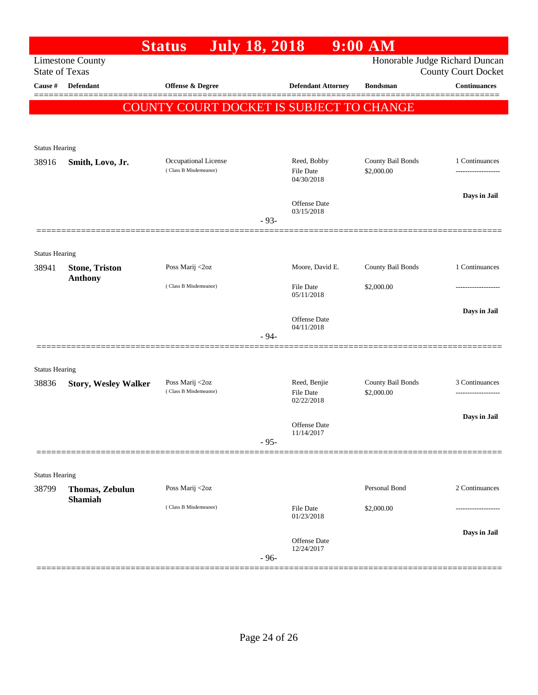|                                |                             | <b>Status</b>                                   | <b>July 18, 2018</b> |                                | $9:00$ AM         |                                                              |
|--------------------------------|-----------------------------|-------------------------------------------------|----------------------|--------------------------------|-------------------|--------------------------------------------------------------|
| <b>State of Texas</b>          | <b>Limestone County</b>     |                                                 |                      |                                |                   | Honorable Judge Richard Duncan<br><b>County Court Docket</b> |
| Cause #                        | <b>Defendant</b>            | Offense & Degree                                |                      | <b>Defendant Attorney</b>      | <b>Bondsman</b>   | <b>Continuances</b>                                          |
|                                |                             | <b>COUNTY COURT DOCKET IS SUBJECT TO CHANGE</b> |                      |                                |                   |                                                              |
|                                |                             |                                                 |                      |                                |                   |                                                              |
|                                |                             |                                                 |                      |                                |                   |                                                              |
| <b>Status Hearing</b>          |                             |                                                 |                      | Reed, Bobby                    | County Bail Bonds | 1 Continuances                                               |
| 38916                          | Smith, Lovo, Jr.            | Occupational License<br>(Class B Misdemeanor)   |                      | <b>File Date</b><br>04/30/2018 | \$2,000.00        |                                                              |
|                                |                             |                                                 |                      | Offense Date<br>03/15/2018     |                   | Days in Jail                                                 |
|                                |                             |                                                 | $-93-$               |                                |                   |                                                              |
|                                |                             |                                                 |                      |                                |                   |                                                              |
| <b>Status Hearing</b><br>38941 | <b>Stone, Triston</b>       | Poss Marij <2oz                                 |                      | Moore, David E.                | County Bail Bonds | 1 Continuances                                               |
|                                | <b>Anthony</b>              | (Class B Misdemeanor)                           |                      | <b>File Date</b><br>05/11/2018 | \$2,000.00        |                                                              |
|                                |                             |                                                 |                      |                                |                   | Days in Jail                                                 |
|                                |                             |                                                 |                      | Offense Date<br>04/11/2018     |                   |                                                              |
|                                |                             |                                                 | $-94-$               |                                |                   |                                                              |
| <b>Status Hearing</b>          |                             |                                                 |                      |                                |                   |                                                              |
| 38836                          | <b>Story, Wesley Walker</b> | Poss Marij <2oz                                 |                      | Reed, Benjie                   | County Bail Bonds | 3 Continuances                                               |
|                                |                             | (Class B Misdemeanor)                           |                      | <b>File Date</b><br>02/22/2018 | \$2,000.00        |                                                              |
|                                |                             |                                                 |                      |                                |                   | Days in Jail                                                 |
|                                |                             |                                                 |                      | Offense Date<br>11/14/2017     |                   |                                                              |
|                                |                             |                                                 | $-95-$               |                                |                   |                                                              |
| <b>Status Hearing</b>          |                             |                                                 |                      |                                |                   |                                                              |
| 38799                          | Thomas, Zebulun             | Poss Marij <2oz                                 |                      |                                | Personal Bond     | 2 Continuances                                               |
|                                | <b>Shamiah</b>              | (Class B Misdemeanor)                           |                      | File Date<br>01/23/2018        | \$2,000.00        |                                                              |
|                                |                             |                                                 |                      |                                |                   | Days in Jail                                                 |
|                                |                             |                                                 | $-96-$               | Offense Date<br>12/24/2017     |                   |                                                              |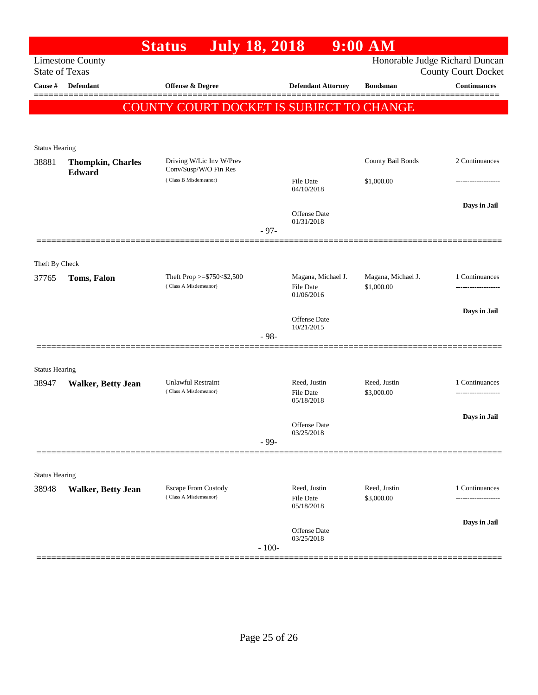| <b>Limestone County</b>                                                         |                                                                                                         |                                                                                               |                                |                                                                                                                       | Honorable Judge Richard Duncan<br><b>County Court Docket</b>                              |
|---------------------------------------------------------------------------------|---------------------------------------------------------------------------------------------------------|-----------------------------------------------------------------------------------------------|--------------------------------|-----------------------------------------------------------------------------------------------------------------------|-------------------------------------------------------------------------------------------|
| <b>Defendant</b>                                                                | Offense & Degree                                                                                        |                                                                                               | <b>Defendant Attorney</b>      | <b>Bondsman</b>                                                                                                       | <b>Continuances</b>                                                                       |
|                                                                                 |                                                                                                         |                                                                                               |                                |                                                                                                                       |                                                                                           |
|                                                                                 |                                                                                                         |                                                                                               |                                |                                                                                                                       |                                                                                           |
|                                                                                 |                                                                                                         |                                                                                               |                                |                                                                                                                       |                                                                                           |
| <b>Thompkin, Charles</b>                                                        | Driving W/Lic Inv W/Prev                                                                                |                                                                                               |                                | County Bail Bonds                                                                                                     | 2 Continuances                                                                            |
|                                                                                 | (Class B Misdemeanor)                                                                                   |                                                                                               | <b>File Date</b>               | \$1,000.00                                                                                                            |                                                                                           |
|                                                                                 |                                                                                                         |                                                                                               |                                |                                                                                                                       | Days in Jail                                                                              |
|                                                                                 |                                                                                                         |                                                                                               | Offense Date                   |                                                                                                                       |                                                                                           |
|                                                                                 |                                                                                                         |                                                                                               |                                |                                                                                                                       |                                                                                           |
|                                                                                 |                                                                                                         |                                                                                               |                                |                                                                                                                       |                                                                                           |
| Toms, Falon                                                                     | Theft Prop >=\$750<\$2,500                                                                              |                                                                                               | Magana, Michael J.             | Magana, Michael J.<br>\$1,000.00                                                                                      | 1 Continuances                                                                            |
|                                                                                 |                                                                                                         |                                                                                               | <b>File Date</b><br>01/06/2016 |                                                                                                                       |                                                                                           |
|                                                                                 |                                                                                                         |                                                                                               |                                |                                                                                                                       | Days in Jail                                                                              |
|                                                                                 |                                                                                                         |                                                                                               | 10/21/2015                     |                                                                                                                       |                                                                                           |
|                                                                                 |                                                                                                         |                                                                                               |                                |                                                                                                                       |                                                                                           |
| <b>Status Hearing</b>                                                           |                                                                                                         |                                                                                               |                                |                                                                                                                       |                                                                                           |
| <b>Unlawful Restraint</b><br><b>Walker, Betty Jean</b><br>(Class A Misdemeanor) |                                                                                                         |                                                                                               | Reed, Justin<br>File Date      | Reed, Justin<br>\$3,000.00                                                                                            | 1 Continuances<br>------------------                                                      |
|                                                                                 |                                                                                                         |                                                                                               | 05/18/2018                     |                                                                                                                       |                                                                                           |
|                                                                                 |                                                                                                         |                                                                                               | <b>Offense Date</b>            |                                                                                                                       | Days in Jail                                                                              |
|                                                                                 |                                                                                                         |                                                                                               |                                |                                                                                                                       |                                                                                           |
|                                                                                 |                                                                                                         |                                                                                               |                                |                                                                                                                       |                                                                                           |
| <b>Status Hearing</b>                                                           |                                                                                                         |                                                                                               |                                |                                                                                                                       |                                                                                           |
|                                                                                 | (Class A Misdemeanor)                                                                                   |                                                                                               | <b>File Date</b><br>05/18/2018 | \$3,000.00                                                                                                            | 1 Continuances                                                                            |
|                                                                                 |                                                                                                         |                                                                                               |                                |                                                                                                                       | Days in Jail                                                                              |
|                                                                                 |                                                                                                         | $-100-$                                                                                       | 03/25/2018                     |                                                                                                                       |                                                                                           |
|                                                                                 | <b>State of Texas</b><br><b>Status Hearing</b><br>Edward<br>Theft By Check<br><b>Walker, Betty Jean</b> | <b>Status</b><br>Conv/Susp/W/O Fin Res<br>(Class A Misdemeanor)<br><b>Escape From Custody</b> | $-97-$<br>$-98-$<br>- 99-      | <b>July 18, 2018</b><br>04/10/2018<br>01/31/2018<br><b>Offense Date</b><br>03/25/2018<br>Reed, Justin<br>Offense Date | $9:00$ $\overline{\text{AM}}$<br>COUNTY COURT DOCKET IS SUBJECT TO CHANGE<br>Reed, Justin |